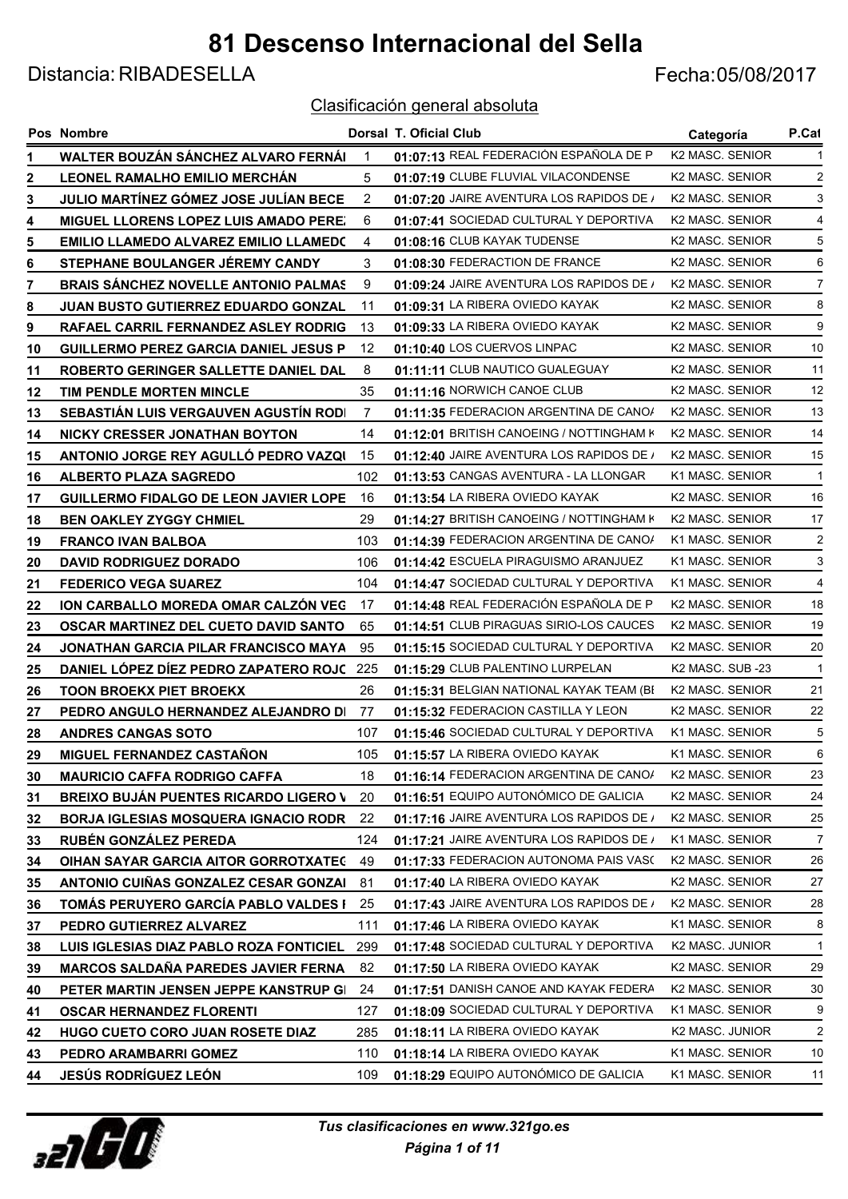Distancia: RIBADESELLA Fecha:05/08/2017

|    | <b>Pos Nombre</b>                            |                | <b>Dorsal T. Oficial Club</b>            | Categoría                   | P.Cat          |
|----|----------------------------------------------|----------------|------------------------------------------|-----------------------------|----------------|
| 1  | WALTER BOUZÁN SÁNCHEZ ALVARO FERNÁI          |                | 01:07:13 REAL FEDERACIÓN ESPAÑOLA DE PI  | K <sub>2</sub> MASC, SENIOR |                |
| 2  | LEONEL RAMALHO EMILIO MERCHAN                | 5              | 01:07:19 CLUBE FLUVIAL VILACONDENSE      | K <sub>2</sub> MASC, SENIOR | 2              |
| 3  | JULIO MARTÍNEZ GÓMEZ JOSE JULÍAN BECE        | $\overline{2}$ | 01:07:20 JAIRE AVENTURA LOS RAPIDOS DE / | <b>K2 MASC, SENIOR</b>      | 3              |
| 4  | MIGUEL LLORENS LOPEZ LUIS AMADO PERE.        | 6              | 01:07:41 SOCIEDAD CULTURAL Y DEPORTIVA   | <b>K2 MASC, SENIOR</b>      | 4              |
| 5  | <b>EMILIO LLAMEDO ALVAREZ EMILIO LLAMEDO</b> | 4              | 01:08:16 CLUB KAYAK TUDENSE              | K2 MASC. SENIOR             | 5              |
| 6  | STEPHANE BOULANGER JÉREMY CANDY              | 3              | 01:08:30 FEDERACTION DE FRANCE           | K <sub>2</sub> MASC, SENIOR | 6              |
| 7  | <b>BRAIS SANCHEZ NOVELLE ANTONIO PALMAS</b>  | 9              | 01:09:24 JAIRE AVENTURA LOS RAPIDOS DE / | K2 MASC. SENIOR             | 7              |
| 8  | JUAN BUSTO GUTIERREZ EDUARDO GONZAL          | 11             | 01:09:31 LA RIBERA OVIEDO KAYAK          | K <sub>2</sub> MASC, SENIOR | 8              |
| 9  | RAFAEL CARRIL FERNANDEZ ASLEY RODRIG         | 13             | 01:09:33 LA RIBERA OVIEDO KAYAK          | K2 MASC. SENIOR             | 9              |
| 10 | <b>GUILLERMO PEREZ GARCIA DANIEL JESUS P</b> | 12             | 01:10:40 LOS CUERVOS LINPAC              | K <sub>2</sub> MASC, SENIOR | 10             |
| 11 | ROBERTO GERINGER SALLETTE DANIEL DAL         | 8              | 01:11:11 CLUB NAUTICO GUALEGUAY          | K2 MASC. SENIOR             | 11             |
| 12 | TIM PENDLE MORTEN MINCLE                     | 35             | 01:11:16 NORWICH CANOE CLUB              | K <sub>2</sub> MASC, SENIOR | 12             |
| 13 | <b>SEBASTIAN LUIS VERGAUVEN AGUSTIN RODI</b> | 7              | 01:11:35 FEDERACION ARGENTINA DE CANO/   | K2 MASC. SENIOR             | 13             |
| 14 | NICKY CRESSER JONATHAN BOYTON                | 14             | 01:12:01 BRITISH CANOEING / NOTTINGHAM K | K <sub>2</sub> MASC, SENIOR | 14             |
| 15 | ANTONIO JORGE REY AGULLÓ PEDRO VAZQI         | 15             | 01:12:40 JAIRE AVENTURA LOS RAPIDOS DE / | K <sub>2</sub> MASC, SENIOR | 15             |
| 16 | <b>ALBERTO PLAZA SAGREDO</b>                 | 102            | 01:13:53 CANGAS AVENTURA - LA LLONGAR    | K1 MASC. SENIOR             | $\mathbf{1}$   |
| 17 | <b>GUILLERMO FIDALGO DE LEON JAVIER LOPE</b> | 16             | 01:13:54 LA RIBERA OVIEDO KAYAK          | K2 MASC. SENIOR             | 16             |
| 18 | <b>BEN OAKLEY ZYGGY CHMIEL</b>               | 29             | 01:14:27 BRITISH CANOEING / NOTTINGHAM K | K <sub>2</sub> MASC, SENIOR | 17             |
| 19 | <b>FRANCO IVAN BALBOA</b>                    | 103            | 01:14:39 FEDERACION ARGENTINA DE CANO/   | K1 MASC, SENIOR             | 2              |
| 20 | <b>DAVID RODRIGUEZ DORADO</b>                | 106            | 01:14:42 ESCUELA PIRAGUISMO ARANJUEZ     | K1 MASC, SENIOR             | 3              |
| 21 | <b>FEDERICO VEGA SUAREZ</b>                  | 104            | 01:14:47 SOCIEDAD CULTURAL Y DEPORTIVA   | K1 MASC. SENIOR             | $\overline{4}$ |
| 22 | ION CARBALLO MOREDA OMAR CALZÓN VEG          | 17             | 01:14:48 REAL FEDERACIÓN ESPAÑOLA DE PI  | K <sub>2</sub> MASC, SENIOR | 18             |
| 23 | OSCAR MARTINEZ DEL CUETO DAVID SANTO         | 65             | 01:14:51 CLUB PIRAGUAS SIRIO-LOS CAUCES  | K <sub>2</sub> MASC, SENIOR | 19             |
| 24 | JONATHAN GARCIA PILAR FRANCISCO MAYA         | 95             | 01:15:15 SOCIEDAD CULTURAL Y DEPORTIVA   | K2 MASC. SENIOR             | 20             |
| 25 | DANIEL LÓPEZ DIEZ PEDRO ZAPATERO ROJC        | 225            | 01:15:29 CLUB PALENTINO LURPELAN         | K2 MASC. SUB -23            | $\mathbf{1}$   |
| 26 | <b>TOON BROEKX PIET BROEKX</b>               | 26             | 01:15:31 BELGIAN NATIONAL KAYAK TEAM (BI | K <sub>2</sub> MASC, SENIOR | 21             |
| 27 | PEDRO ANGULO HERNANDEZ ALEJANDRO DI          | 77             | 01:15:32 FEDERACION CASTILLA Y LEON      | K <sub>2</sub> MASC, SENIOR | 22             |
| 28 | <b>ANDRES CANGAS SOTO</b>                    | 107            | 01:15:46 SOCIEDAD CULTURAL Y DEPORTIVA   | K1 MASC, SENIOR             | 5              |
| 29 | MIGUEL FERNANDEZ CASTAÑON                    | 105            | 01:15:57 LA RIBERA OVIEDO KAYAK          | K1 MASC, SENIOR             | 6              |
| 30 | <b>MAURICIO CAFFA RODRIGO CAFFA</b>          | 18             | 01:16:14 FEDERACION ARGENTINA DE CANO/   | K2 MASC. SENIOR             | 23             |
| 31 | <b>BREIXO BUJÁN PUENTES RICARDO LIGERO V</b> | 20             | 01:16:51 EQUIPO AUTONÓMICO DE GALICIA    | K2 MASC. SENIOR             | 24             |
| 32 | <b>BORJA IGLESIAS MOSQUERA IGNACIO RODR</b>  | 22             | 01:17:16 JAIRE AVENTURA LOS RAPIDOS DE / | K2 MASC. SENIOR             | 25             |
| 33 | RUBÉN GONZÁLEZ PEREDA                        | 124            | 01:17:21 JAIRE AVENTURA LOS RAPIDOS DE / | K1 MASC. SENIOR             | 7              |
| 34 | OIHAN SAYAR GARCIA AITOR GORROTXATEC         | 49             | 01:17:33 FEDERACION AUTONOMA PAIS VASO   | K2 MASC. SENIOR             | 26             |
| 35 | ANTONIO CUIÑAS GONZALEZ CESAR GONZAI         | 81             | 01:17:40 LA RIBERA OVIEDO KAYAK          | K2 MASC. SENIOR             | 27             |
| 36 | TOMÁS PERUYERO GARCÍA PABLO VALDES I         | 25             | 01:17:43 JAIRE AVENTURA LOS RAPIDOS DE / | K2 MASC. SENIOR             | 28             |
| 37 | PEDRO GUTIERREZ ALVAREZ                      | 111            | 01:17:46 LA RIBERA OVIEDO KAYAK          | K1 MASC. SENIOR             | 8              |
| 38 | LUIS IGLESIAS DIAZ PABLO ROZA FONTICIEL      | 299            | 01:17:48 SOCIEDAD CULTURAL Y DEPORTIVA   | K2 MASC. JUNIOR             | $\mathbf{1}$   |
| 39 | <b>MARCOS SALDAÑA PAREDES JAVIER FERNA</b>   | 82             | 01:17:50 LA RIBERA OVIEDO KAYAK          | K2 MASC. SENIOR             | 29             |
| 40 | PETER MARTIN JENSEN JEPPE KANSTRUP GI        | 24             | 01:17:51 DANISH CANOE AND KAYAK FEDERA   | K2 MASC. SENIOR             | 30             |
| 41 | <b>OSCAR HERNANDEZ FLORENTI</b>              | 127            | 01:18:09 SOCIEDAD CULTURAL Y DEPORTIVA   | K1 MASC. SENIOR             | 9              |
| 42 | HUGO CUETO CORO JUAN ROSETE DIAZ             | 285            | 01:18:11 LA RIBERA OVIEDO KAYAK          | K2 MASC. JUNIOR             | $\overline{c}$ |
| 43 | PEDRO ARAMBARRI GOMEZ                        | 110            | 01:18:14 LA RIBERA OVIEDO KAYAK          | K1 MASC. SENIOR             | 10             |
| 44 | <b>JESÚS RODRÍGUEZ LEÓN</b>                  | 109            | 01:18:29 EQUIPO AUTONÓMICO DE GALICIA    | K1 MASC. SENIOR             | 11             |

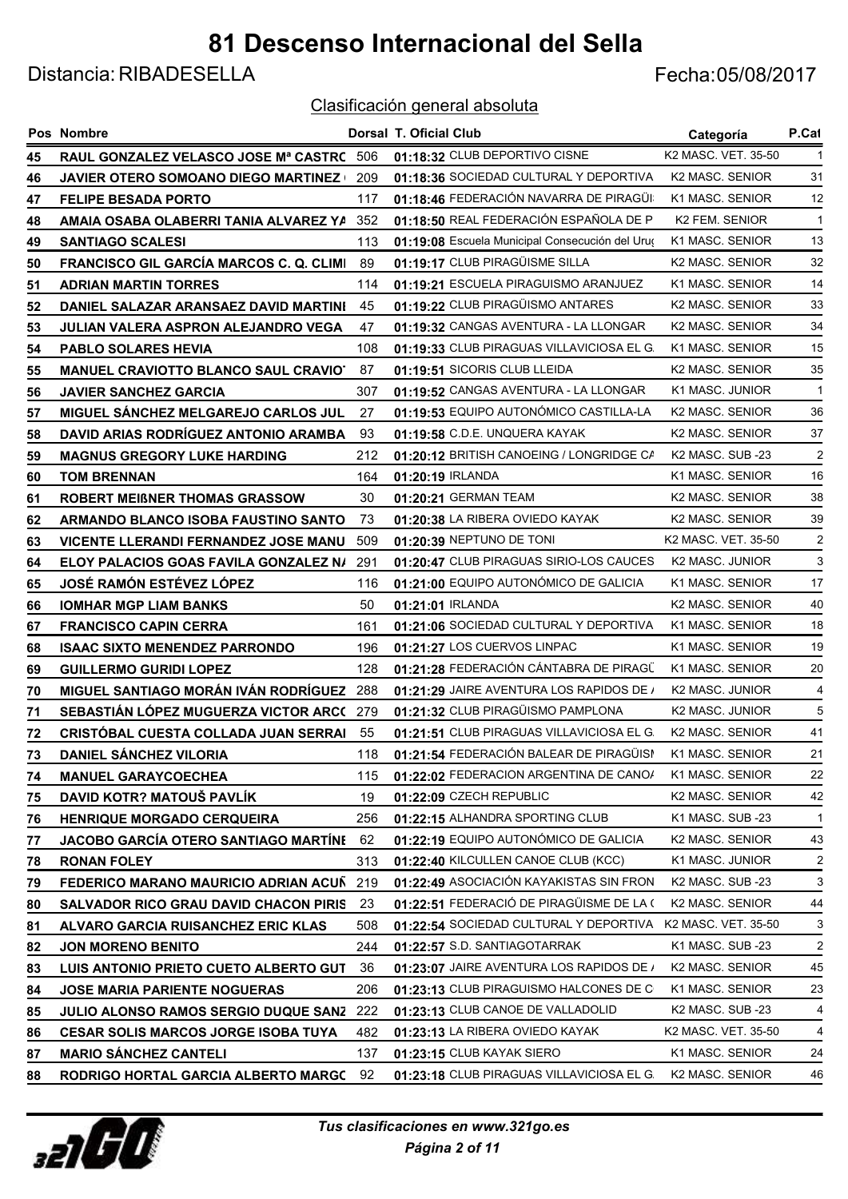Distancia: RIBADESELLA Fecha:05/08/2017

|    | Pos Nombre                                     |     | <b>Dorsal T. Oficial Club</b>                   | Categoría                    | P.Cat          |
|----|------------------------------------------------|-----|-------------------------------------------------|------------------------------|----------------|
| 45 | RAUL GONZALEZ VELASCO JOSE Mª CASTRC 506       |     | 01:18:32 CLUB DEPORTIVO CISNE                   | K2 MASC. VET. 35-50          |                |
| 46 | <b>JAVIER OTERO SOMOANO DIEGO MARTINEZ  </b>   | 209 | 01:18:36 SOCIEDAD CULTURAL Y DEPORTIVA          | K2 MASC. SENIOR              | 31             |
| 47 | <b>FELIPE BESADA PORTO</b>                     | 117 | 01:18:46 FEDERACIÓN NAVARRA DE PIRAGÜI          | K1 MASC. SENIOR              | 12             |
| 48 | AMAIA OSABA OLABERRI TANIA ALVAREZ YA          | 352 | 01:18:50 REAL FEDERACIÓN ESPAÑOLA DE PI         | <b>K2 FEM. SENIOR</b>        | -1             |
| 49 | <b>SANTIAGO SCALESI</b>                        | 113 | 01:19:08 Escuela Municipal Consecución del Uruç | K1 MASC. SENIOR              | 13             |
| 50 | <b>FRANCISCO GIL GARCIA MARCOS C. Q. CLIMI</b> | 89  | 01:19:17 CLUB PIRAGÜISME SILLA                  | K2 MASC. SENIOR              | 32             |
| 51 | <b>ADRIAN MARTIN TORRES</b>                    | 114 | 01:19:21 ESCUELA PIRAGUISMO ARANJUEZ            | K1 MASC. SENIOR              | 14             |
| 52 | DANIEL SALAZAR ARANSAEZ DAVID MARTINI          | 45  | 01:19:22 CLUB PIRAGÜISMO ANTARES                | K2 MASC. SENIOR              | 33             |
| 53 | JULIAN VALERA ASPRON ALEJANDRO VEGA            | 47  | 01:19:32 CANGAS AVENTURA - LA LLONGAR           | K2 MASC. SENIOR              | 34             |
| 54 | <b>PABLO SOLARES HEVIA</b>                     | 108 | 01:19:33 CLUB PIRAGUAS VILLAVICIOSA EL G.       | K1 MASC. SENIOR              | 15             |
| 55 | <b>MANUEL CRAVIOTTO BLANCO SAUL CRAVIOT</b>    | 87  | 01:19:51 SICORIS CLUB LLEIDA                    | K2 MASC. SENIOR              | 35             |
| 56 | <b>JAVIER SANCHEZ GARCIA</b>                   | 307 | 01:19:52 CANGAS AVENTURA - LA LLONGAR           | K1 MASC. JUNIOR              | -1             |
| 57 | MIGUEL SANCHEZ MELGAREJO CARLOS JUL            | 27  | 01:19:53 EQUIPO AUTONÓMICO CASTILLA-LA          | K2 MASC. SENIOR              | 36             |
| 58 | DAVID ARIAS RODRÍGUEZ ANTONIO ARAMBA           | 93  | 01:19:58 C.D.E. UNQUERA KAYAK                   | K2 MASC. SENIOR              | 37             |
| 59 | <b>MAGNUS GREGORY LUKE HARDING</b>             | 212 | 01:20:12 BRITISH CANOEING / LONGRIDGE CA        | K <sub>2</sub> MASC, SUB -23 | 2              |
| 60 | <b>TOM BRENNAN</b>                             | 164 | 01:20:19 IRLANDA                                | K1 MASC. SENIOR              | 16             |
| 61 | ROBERT MEIBNER THOMAS GRASSOW                  | 30  | 01:20:21 GERMAN TEAM                            | <b>K2 MASC, SENIOR</b>       | 38             |
| 62 | ARMANDO BLANCO ISOBA FAUSTINO SANTO            | 73  | 01:20:38 LA RIBERA OVIEDO KAYAK                 | K2 MASC. SENIOR              | 39             |
| 63 | <b>VICENTE LLERANDI FERNANDEZ JOSE MANU</b>    | 509 | 01:20:39 NEPTUNO DE TONI                        | K2 MASC. VET. 35-50          | 2              |
| 64 | ELOY PALACIOS GOAS FAVILA GONZALEZ N/          | 291 | 01:20:47 CLUB PIRAGUAS SIRIO-LOS CAUCES         | K2 MASC. JUNIOR              | 3              |
| 65 | <b>JOSÉ RAMÓN ESTÉVEZ LÓPEZ</b>                | 116 | 01:21:00 EQUIPO AUTONÓMICO DE GALICIA           | K1 MASC. SENIOR              | 17             |
| 66 | <b>IOMHAR MGP LIAM BANKS</b>                   | 50  | 01:21:01 IRLANDA                                | K2 MASC. SENIOR              | 40             |
| 67 | <b>FRANCISCO CAPIN CERRA</b>                   | 161 | 01:21:06 SOCIEDAD CULTURAL Y DEPORTIVA          | K1 MASC. SENIOR              | 18             |
| 68 | <b>ISAAC SIXTO MENENDEZ PARRONDO</b>           | 196 | 01:21:27 LOS CUERVOS LINPAC                     | K1 MASC. SENIOR              | 19             |
| 69 | <b>GUILLERMO GURIDI LOPEZ</b>                  | 128 | 01:21:28 FEDERACIÓN CÁNTABRA DE PIRAGÜ          | K1 MASC. SENIOR              | 20             |
| 70 | MIGUEL SANTIAGO MORÁN IVÁN RODRÍGUEZ           | 288 | 01:21:29 JAIRE AVENTURA LOS RAPIDOS DE /        | K2 MASC. JUNIOR              | 4              |
| 71 | SEBASTIAN LOPEZ MUGUERZA VICTOR ARCO           | 279 | 01:21:32 CLUB PIRAGÜISMO PAMPLONA               | K2 MASC. JUNIOR              | 5              |
| 72 | <b>CRISTOBAL CUESTA COLLADA JUAN SERRAI</b>    | 55  | 01:21:51 CLUB PIRAGUAS VILLAVICIOSA EL G.       | K2 MASC. SENIOR              | 41             |
| 73 | <b>DANIEL SÁNCHEZ VILORIA</b>                  | 118 | 01:21:54 FEDERACIÓN BALEAR DE PIRAGÜISI         | K1 MASC. SENIOR              | 21             |
| 74 | <b>MANUEL GARAYCOECHEA</b>                     | 115 | 01:22:02 FEDERACION ARGENTINA DE CANO/          | K1 MASC. SENIOR              | 22             |
| 75 | DAVID KOTR? MATOUŠ PAVLÍK                      | 19  | 01:22:09 CZECH REPUBLIC                         | K2 MASC. SENIOR              | 42             |
| 76 | <b>HENRIQUE MORGADO CERQUEIRA</b>              | 256 | 01:22:15 ALHANDRA SPORTING CLUB                 | K1 MASC. SUB -23             | $\mathbf 1$    |
| 77 | JACOBO GARCÍA OTERO SANTIAGO MARTÍNE           | 62  | 01:22:19 EQUIPO AUTONÓMICO DE GALICIA           | K2 MASC. SENIOR              | 43             |
| 78 | <b>RONAN FOLEY</b>                             | 313 | 01:22:40 KILCULLEN CANOE CLUB (KCC)             | K1 MASC. JUNIOR              | 2              |
| 79 | FEDERICO MARANO MAURICIO ADRIAN ACUÑ           | 219 | 01:22:49 ASOCIACIÓN KAYAKISTAS SIN FRON         | K2 MASC. SUB -23             | 3              |
| 80 | SALVADOR RICO GRAU DAVID CHACON PIRIS          | 23  | 01:22:51 FEDERACIÓ DE PIRAGÜISME DE LA (        | K2 MASC. SENIOR              | 44             |
| 81 | ALVARO GARCIA RUISANCHEZ ERIC KLAS             | 508 | 01:22:54 SOCIEDAD CULTURAL Y DEPORTIVA          | K2 MASC. VET. 35-50          | 3              |
| 82 | <b>JON MORENO BENITO</b>                       | 244 | 01:22:57 S.D. SANTIAGOTARRAK                    | K1 MASC. SUB -23             | $\overline{c}$ |
| 83 | LUIS ANTONIO PRIETO CUETO ALBERTO GUT          | 36  | 01:23:07 JAIRE AVENTURA LOS RAPIDOS DE /        | K2 MASC. SENIOR              | 45             |
| 84 | <b>JOSE MARIA PARIENTE NOGUERAS</b>            | 206 | 01:23:13 CLUB PIRAGUISMO HALCONES DE C          | K1 MASC. SENIOR              | 23             |
| 85 | <b>JULIO ALONSO RAMOS SERGIO DUQUE SANZ</b>    | 222 | 01:23:13 CLUB CANOE DE VALLADOLID               | K2 MASC. SUB -23             | 4              |
| 86 | <b>CESAR SOLIS MARCOS JORGE ISOBA TUYA</b>     | 482 | 01:23:13 LA RIBERA OVIEDO KAYAK                 | K2 MASC. VET. 35-50          | 4              |
| 87 | <b>MARIO SANCHEZ CANTELI</b>                   | 137 | 01:23:15 CLUB KAYAK SIERO                       | K1 MASC. SENIOR              | 24             |
| 88 | RODRIGO HORTAL GARCIA ALBERTO MARGC            | 92  | 01:23:18 CLUB PIRAGUAS VILLAVICIOSA EL G.       | K2 MASC. SENIOR              | 46             |

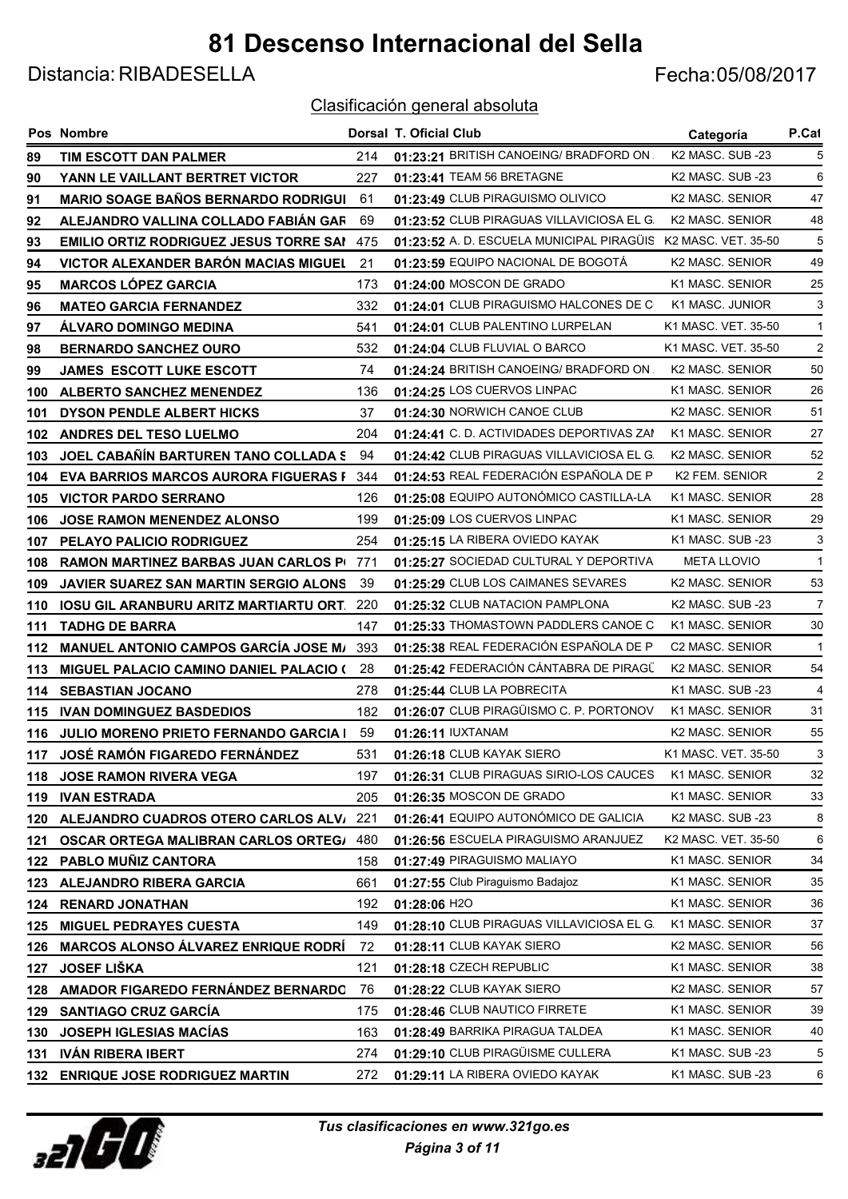Distancia: RIBADESELLA Fecha:05/08/2017

|     | Pos Nombre                                    |      | <b>Dorsal T. Oficial Club</b>                                 | Categoría                    | P.Cat          |
|-----|-----------------------------------------------|------|---------------------------------------------------------------|------------------------------|----------------|
| 89  | TIM ESCOTT DAN PALMER                         | 214  | 01:23:21 BRITISH CANOEING/ BRADFORD ON.                       | K2 MASC. SUB -23             | 5              |
| 90  | YANN LE VAILLANT BERTRET VICTOR               | 227  | 01:23:41 TEAM 56 BRETAGNE                                     | K2 MASC. SUB -23             | 6              |
| 91  | <b>MARIO SOAGE BAÑOS BERNARDO RODRIGUI</b>    | 61   | 01:23:49 CLUB PIRAGUISMO OLIVICO                              | K2 MASC. SENIOR              | 47             |
| 92  | ALEJANDRO VALLINA COLLADO FABIÁN GAR          | 69   | 01:23:52 CLUB PIRAGUAS VILLAVICIOSA EL G.                     | K2 MASC. SENIOR              | 48             |
| 93  | EMILIO ORTIZ RODRIGUEZ JESUS TORRE SAI        | 475  | 01:23:52 A. D. ESCUELA MUNICIPAL PIRAGÜIS K2 MASC. VET. 35-50 |                              | 5              |
| 94  | VICTOR ALEXANDER BARÓN MACIAS MIGUEL          | 21   | 01:23:59 EQUIPO NACIONAL DE BOGOTÁ                            | K2 MASC. SENIOR              | 49             |
| 95  | <b>MARCOS LÓPEZ GARCIA</b>                    | 173  | 01:24:00 MOSCON DE GRADO                                      | K1 MASC. SENIOR              | 25             |
| 96  | <b>MATEO GARCIA FERNANDEZ</b>                 | 332  | 01:24:01 CLUB PIRAGUISMO HALCONES DE C                        | K1 MASC, JUNIOR              | 3              |
| 97  | ÁLVARO DOMINGO MEDINA                         | 541  | 01:24:01 CLUB PALENTINO LURPELAN                              | K1 MASC, VET, 35-50          | $\mathbf{1}$   |
| 98  | <b>BERNARDO SANCHEZ OURO</b>                  | 532  | 01:24:04 CLUB FLUVIAL O BARCO                                 | K1 MASC. VET. 35-50          | $\overline{2}$ |
| 99  | JAMES ESCOTT LUKE ESCOTT                      | 74   | 01:24:24 BRITISH CANOEING/ BRADFORD ON.                       | K2 MASC. SENIOR              | 50             |
| 100 | <b>ALBERTO SANCHEZ MENENDEZ</b>               | 136  | 01:24:25 LOS CUERVOS LINPAC                                   | K1 MASC. SENIOR              | 26             |
| 101 | <b>DYSON PENDLE ALBERT HICKS</b>              | 37   | 01:24:30 NORWICH CANOE CLUB                                   | K2 MASC. SENIOR              | 51             |
| 102 | ANDRES DEL TESO LUELMO                        | 204  | 01:24:41 C.D. ACTIVIDADES DEPORTIVAS ZAM                      | K1 MASC. SENIOR              | 27             |
| 103 | JOEL CABAÑÍN BARTUREN TANO COLLADA S          | 94   | 01:24:42 CLUB PIRAGUAS VILLAVICIOSA EL G.                     | K2 MASC. SENIOR              | 52             |
| 104 | <b>EVA BARRIOS MARCOS AURORA FIGUERAS F</b>   | 344  | 01:24:53 REAL FEDERACIÓN ESPAÑOLA DE PI                       | K2 FEM. SENIOR               | $\overline{2}$ |
| 105 | <b>VICTOR PARDO SERRANO</b>                   | 126  | 01:25:08 EQUIPO AUTONÓMICO CASTILLA-LA                        | K1 MASC. SENIOR              | 28             |
| 106 | <b>JOSE RAMON MENENDEZ ALONSO</b>             | 199  | 01:25:09 LOS CUERVOS LINPAC                                   | K1 MASC. SENIOR              | 29             |
| 107 | PELAYO PALICIO RODRIGUEZ                      | 254  | 01:25:15 LA RIBERA OVIEDO KAYAK                               | K1 MASC. SUB -23             | 3              |
| 108 | <b>RAMON MARTINEZ BARBAS JUAN CARLOS PI</b>   | 771  | 01:25:27 SOCIEDAD CULTURAL Y DEPORTIVA                        | <b>META LLOVIO</b>           | $\mathbf{1}$   |
| 109 | JAVIER SUAREZ SAN MARTIN SERGIO ALONS         | 39   | 01:25:29 CLUB LOS CAIMANES SEVARES                            | K2 MASC. SENIOR              | 53             |
| 110 | IOSU GIL ARANBURU ARITZ MARTIARTU ORT.        | 220  | 01:25:32 CLUB NATACION PAMPLONA                               | K <sub>2</sub> MASC, SUB -23 | 7              |
| 111 | <b>TADHG DE BARRA</b>                         | 147  | 01:25:33 THOMASTOWN PADDLERS CANOE C                          | K1 MASC. SENIOR              | 30             |
| 112 | <b>MANUEL ANTONIO CAMPOS GARCÍA JOSE M/</b>   | 393  | 01:25:38 REAL FEDERACIÓN ESPAÑOLA DE PI                       | C2 MASC. SENIOR              | $\mathbf{1}$   |
| 113 | <b>MIGUEL PALACIO CAMINO DANIEL PALACIO (</b> | 28   | 01:25:42 FEDERACIÓN CÁNTABRA DE PIRAGÜ                        | K2 MASC. SENIOR              | 54             |
| 114 | <b>SEBASTIAN JOCANO</b>                       | 278  | 01:25:44 CLUB LA POBRECITA                                    | K1 MASC. SUB -23             | 4              |
| 115 | <b>IVAN DOMINGUEZ BASDEDIOS</b>               | 182  | 01:26:07 CLUB PIRAGÜISMO C. P. PORTONOV                       | K1 MASC, SENIOR              | 31             |
| 116 | JULIO MORENO PRIETO FERNANDO GARCIA I         | 59   | 01:26:11 IUXTANAM                                             | <b>K2 MASC, SENIOR</b>       | 55             |
| 117 | <b>JOSÉ RAMÓN FIGAREDO FERNÁNDEZ</b>          | 531  | 01:26:18 CLUB KAYAK SIERO                                     | K1 MASC, VET, 35-50          | 3              |
| 118 | <b>JOSE RAMON RIVERA VEGA</b>                 | 197  | 01:26:31 CLUB PIRAGUAS SIRIO-LOS CAUCES                       | K1 MASC. SENIOR              | 32             |
| 119 | <b>IVAN ESTRADA</b>                           | 205  | 01:26:35 MOSCON DE GRADO                                      | K1 MASC. SENIOR              | 33             |
| 120 | ALEJANDRO CUADROS OTERO CARLOS ALV            | -221 | 01:26:41 EQUIPO AUTONÓMICO DE GALICIA                         | K2 MASC. SUB -23             | 8              |
| 121 | <b>OSCAR ORTEGA MALIBRAN CARLOS ORTEG/</b>    | 480  | 01:26:56 ESCUELA PIRAGUISMO ARANJUEZ                          | K2 MASC. VET. 35-50          | 6              |
| 122 | PABLO MUÑIZ CANTORA                           | 158  | 01:27:49 PIRAGUISMO MALIAYO                                   | K1 MASC. SENIOR              | 34             |
| 123 | <b>ALEJANDRO RIBERA GARCIA</b>                | 661  | 01:27:55 Club Piraguismo Badajoz                              | K1 MASC. SENIOR              | 35             |
| 124 | <b>RENARD JONATHAN</b>                        | 192  | 01:28:06 H2O                                                  | K1 MASC. SENIOR              | 36             |
| 125 | <b>MIGUEL PEDRAYES CUESTA</b>                 | 149  | 01:28:10 CLUB PIRAGUAS VILLAVICIOSA EL G.                     | K1 MASC. SENIOR              | 37             |
| 126 | <b>MARCOS ALONSO ÁLVAREZ ENRIQUE RODRÍ</b>    | 72   | 01:28:11 CLUB KAYAK SIERO                                     | K2 MASC. SENIOR              | 56             |
| 127 | <b>JOSEF LIŠKA</b>                            | 121  | 01:28:18 CZECH REPUBLIC                                       | K1 MASC. SENIOR              | 38             |
| 128 | AMADOR FIGAREDO FERNÁNDEZ BERNARDO            | 76   | 01:28:22 CLUB KAYAK SIERO                                     | K2 MASC. SENIOR              | 57             |
| 129 | <b>SANTIAGO CRUZ GARCÍA</b>                   | 175  | 01:28:46 CLUB NAUTICO FIRRETE                                 | K1 MASC. SENIOR              | 39             |
| 130 | <b>JOSEPH IGLESIAS MACÍAS</b>                 | 163  | 01:28:49 BARRIKA PIRAGUA TALDEA                               | K1 MASC. SENIOR              | 40             |
| 131 | <b>IVÁN RIBERA IBERT</b>                      | 274  | 01:29:10 CLUB PIRAGÜISME CULLERA                              | K1 MASC. SUB -23             | 5              |
|     | 132 ENRIQUE JOSE RODRIGUEZ MARTIN             | 272  | 01:29:11 LA RIBERA OVIEDO KAYAK                               | K1 MASC. SUB -23             | 6              |

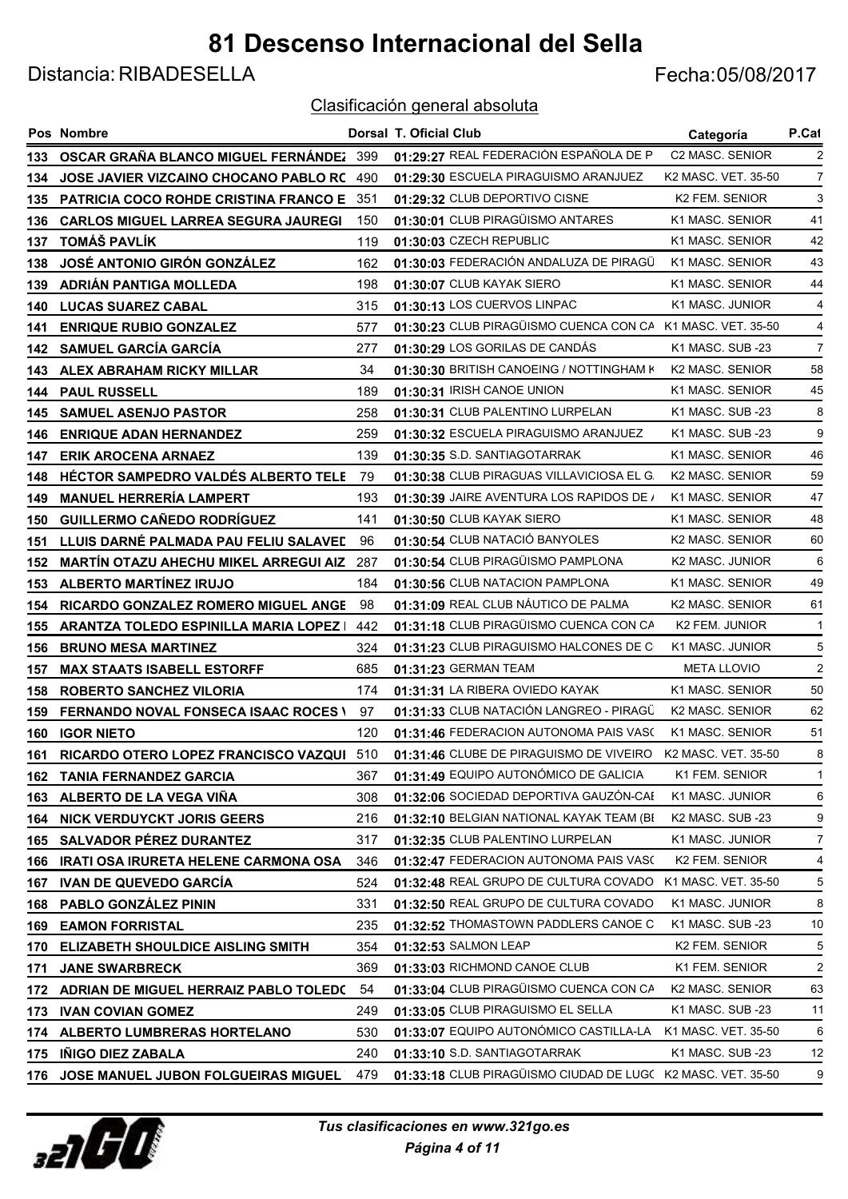Distancia: RIBADESELLA Fecha:05/08/2017

|     | <b>Pos Nombre</b>                                |     | Dorsal T. Oficial Club                                                      | Categoría                       | P.Cat            |
|-----|--------------------------------------------------|-----|-----------------------------------------------------------------------------|---------------------------------|------------------|
| 133 | OSCAR GRAÑA BLANCO MIGUEL FERNÁNDEZ 399          |     | 01:29:27 REAL FEDERACIÓN ESPAÑOLA DE PI                                     | C2 MASC. SENIOR                 | 2                |
| 134 | <b>JOSE JAVIER VIZCAINO CHOCANO PABLO RC</b>     | 490 | 01:29:30 ESCUELA PIRAGUISMO ARANJUEZ                                        | K2 MASC. VET. 35-50             | $\overline{7}$   |
| 135 | <b>PATRICIA COCO ROHDE CRISTINA FRANCO E 351</b> |     | 01:29:32 CLUB DEPORTIVO CISNE                                               | <b>K2 FEM. SENIOR</b>           | 3                |
| 136 | <b>CARLOS MIGUEL LARREA SEGURA JAUREGI</b>       | 150 | 01:30:01 CLUB PIRAGÜISMO ANTARES                                            | K1 MASC. SENIOR                 | 41               |
| 137 | <b>TOMÁŠ PAVLÍK</b>                              | 119 | 01:30:03 CZECH REPUBLIC                                                     | K1 MASC. SENIOR                 | 42               |
| 138 | <b>JOSÉ ANTONIO GIRÓN GONZÁLEZ</b>               | 162 | 01:30:03 FEDERACIÓN ANDALUZA DE PIRAGÜ                                      | K1 MASC. SENIOR                 | 43               |
| 139 | ADRIÁN PANTIGA MOLLEDA                           | 198 | 01:30:07 CLUB KAYAK SIERO                                                   | K1 MASC. SENIOR                 | 44               |
| 140 | <b>LUCAS SUAREZ CABAL</b>                        | 315 | 01:30:13 LOS CUERVOS LINPAC                                                 | K1 MASC. JUNIOR                 | 4                |
| 141 | <b>ENRIQUE RUBIO GONZALEZ</b>                    | 577 | 01:30:23 CLUB PIRAGÜISMO CUENCA CON CA K1 MASC. VET. 35-50                  |                                 | 4                |
| 142 | <b>SAMUEL GARCÍA GARCÍA</b>                      | 277 | 01:30:29 LOS GORILAS DE CANDÁS                                              | K1 MASC. SUB -23                | 7                |
| 143 | ALEX ABRAHAM RICKY MILLAR                        | 34  | 01:30:30 BRITISH CANOEING / NOTTINGHAM K                                    | K2 MASC. SENIOR                 | 58               |
| 144 | <b>PAUL RUSSELL</b>                              | 189 | 01:30:31 IRISH CANOE UNION                                                  | K1 MASC. SENIOR                 | 45               |
| 145 | <b>SAMUEL ASENJO PASTOR</b>                      | 258 | 01:30:31 CLUB PALENTINO LURPELAN                                            | K1 MASC. SUB -23                | 8                |
| 146 | <b>ENRIQUE ADAN HERNANDEZ</b>                    | 259 | 01:30:32 ESCUELA PIRAGUISMO ARANJUEZ                                        | K1 MASC. SUB -23                | 9                |
| 147 | <b>ERIK AROCENA ARNAEZ</b>                       | 139 | 01:30:35 S.D. SANTIAGOTARRAK                                                | K1 MASC. SENIOR                 | 46               |
| 148 | HÉCTOR SAMPEDRO VALDÉS ALBERTO TELE              | 79  | 01:30:38 CLUB PIRAGUAS VILLAVICIOSA EL G.                                   | K <sub>2</sub> MASC, SENIOR     | 59               |
| 149 | <b>MANUEL HERRERÍA LAMPERT</b>                   | 193 | 01:30:39 JAIRE AVENTURA LOS RAPIDOS DE /                                    | K1 MASC. SENIOR                 | 47               |
| 150 | GUILLERMO CAÑEDO RODRÍGUEZ                       | 141 | 01:30:50 CLUB KAYAK SIERO                                                   | K1 MASC. SENIOR                 | 48               |
| 151 | LLUIS DARNÉ PALMADA PAU FELIU SALAVED            | 96  | 01:30:54 CLUB NATACIÓ BANYOLES                                              | K2 MASC. SENIOR                 | 60               |
| 152 | <b>MARTÍN OTAZU AHECHU MIKEL ARREGUI AIZ</b>     | 287 | 01:30:54 CLUB PIRAGÜISMO PAMPLONA                                           | K2 MASC. JUNIOR                 | 6                |
| 153 | <b>ALBERTO MARTÍNEZ IRUJO</b>                    | 184 | 01:30:56 CLUB NATACION PAMPLONA                                             | K1 MASC. SENIOR                 | 49               |
| 154 | <b>RICARDO GONZALEZ ROMERO MIGUEL ANGE</b>       | 98  | 01:31:09 REAL CLUB NÁUTICO DE PALMA                                         | K2 MASC. SENIOR                 | 61               |
| 155 | ARANTZA TOLEDO ESPINILLA MARIA LOPEZ             | 442 | 01:31:18 CLUB PIRAGÜISMO CUENCA CON CA                                      | K2 FEM. JUNIOR                  | -1               |
| 156 | <b>BRUNO MESA MARTINEZ</b>                       | 324 | 01:31:23 CLUB PIRAGUISMO HALCONES DE C                                      | K1 MASC. JUNIOR                 | 5                |
| 157 | <b>MAX STAATS ISABELL ESTORFF</b>                | 685 | 01:31:23 GERMAN TEAM                                                        | <b>META LLOVIO</b>              | $\boldsymbol{2}$ |
| 158 | <b>ROBERTO SANCHEZ VILORIA</b>                   | 174 | 01:31:31 LA RIBERA OVIEDO KAYAK                                             | K1 MASC. SENIOR                 | 50               |
| 159 | <b>FERNANDO NOVAL FONSECA ISAAC ROCES \</b>      | 97  | 01:31:33 CLUB NATACIÓN LANGREO - PIRAGÜ                                     | K2 MASC. SENIOR                 | 62               |
| 160 | <b>IGOR NIETO</b>                                | 120 | 01:31:46 FEDERACION AUTONOMA PAIS VASO                                      | K1 MASC. SENIOR                 | 51               |
|     | 161 RICARDO OTERO LOPEZ FRANCISCO VAZQUI 510     |     | 01:31:46 CLUBE DE PIRAGUISMO DE VIVEIRO                                     | K <sub>2</sub> MASC, VET, 35-50 | 8                |
| 162 | <b>TANIA FERNANDEZ GARCIA</b>                    | 367 | 01:31:49 EQUIPO AUTONÓMICO DE GALICIA                                       | K1 FEM. SENIOR                  | 1                |
| 163 | ALBERTO DE LA VEGA VIÑA                          | 308 | 01:32:06 SOCIEDAD DEPORTIVA GAUZÓN-CAE                                      | K1 MASC. JUNIOR                 | 6                |
| 164 | <b>NICK VERDUYCKT JORIS GEERS</b>                | 216 | 01:32:10 BELGIAN NATIONAL KAYAK TEAM (BI                                    | K2 MASC. SUB -23                | 9                |
| 165 | <b>SALVADOR PEREZ DURANTEZ</b>                   | 317 | 01:32:35 CLUB PALENTINO LURPELAN                                            | K1 MASC. JUNIOR                 | 7                |
| 166 | IRATI OSA IRURETA HELENE CARMONA OSA             | 346 | 01:32:47 FEDERACION AUTONOMA PAIS VASO                                      | K2 FEM. SENIOR                  | 4                |
| 167 | <b>IVAN DE QUEVEDO GARCIA</b>                    | 524 | 01:32:48 REAL GRUPO DE CULTURA COVADO                                       | K1 MASC. VET. 35-50             | 5                |
| 168 | PABLO GONZÁLEZ PININ                             | 331 | 01:32:50 REAL GRUPO DE CULTURA COVADO                                       | K1 MASC. JUNIOR                 | 8                |
| 169 | <b>EAMON FORRISTAL</b>                           | 235 | 01:32:52 THOMASTOWN PADDLERS CANOE C                                        | K1 MASC. SUB -23                | 10               |
| 170 | <b>ELIZABETH SHOULDICE AISLING SMITH</b>         | 354 | 01:32:53 SALMON LEAP                                                        | K2 FEM. SENIOR                  | 5                |
| 171 | <b>JANE SWARBRECK</b>                            | 369 | 01:33:03 RICHMOND CANOE CLUB                                                | K1 FEM. SENIOR                  | 2                |
| 172 | ADRIAN DE MIGUEL HERRAIZ PABLO TOLEDO            | 54  | 01:33:04 CLUB PIRAGÜISMO CUENCA CON CA                                      | K2 MASC. SENIOR                 | 63               |
| 173 | <b>IVAN COVIAN GOMEZ</b>                         | 249 | 01:33:05 CLUB PIRAGUISMO EL SELLA<br>01:33:07 EQUIPO AUTONÓMICO CASTILLA-LA | K1 MASC. SUB -23                | 11               |
| 174 | ALBERTO LUMBRERAS HORTELANO                      | 530 | 01:33:10 S.D. SANTIAGOTARRAK                                                | K1 MASC. VET. 35-50             | 6<br>12          |
| 175 | <b>INIGO DIEZ ZABALA</b>                         | 240 | 01:33:18 CLUB PIRAGUISMO CIUDAD DE LUGC K2 MASC. VET. 35-50                 | K1 MASC. SUB -23                | 9                |
| 176 | JOSE MANUEL JUBON FOLGUEIRAS MIGUEL              | 479 |                                                                             |                                 |                  |

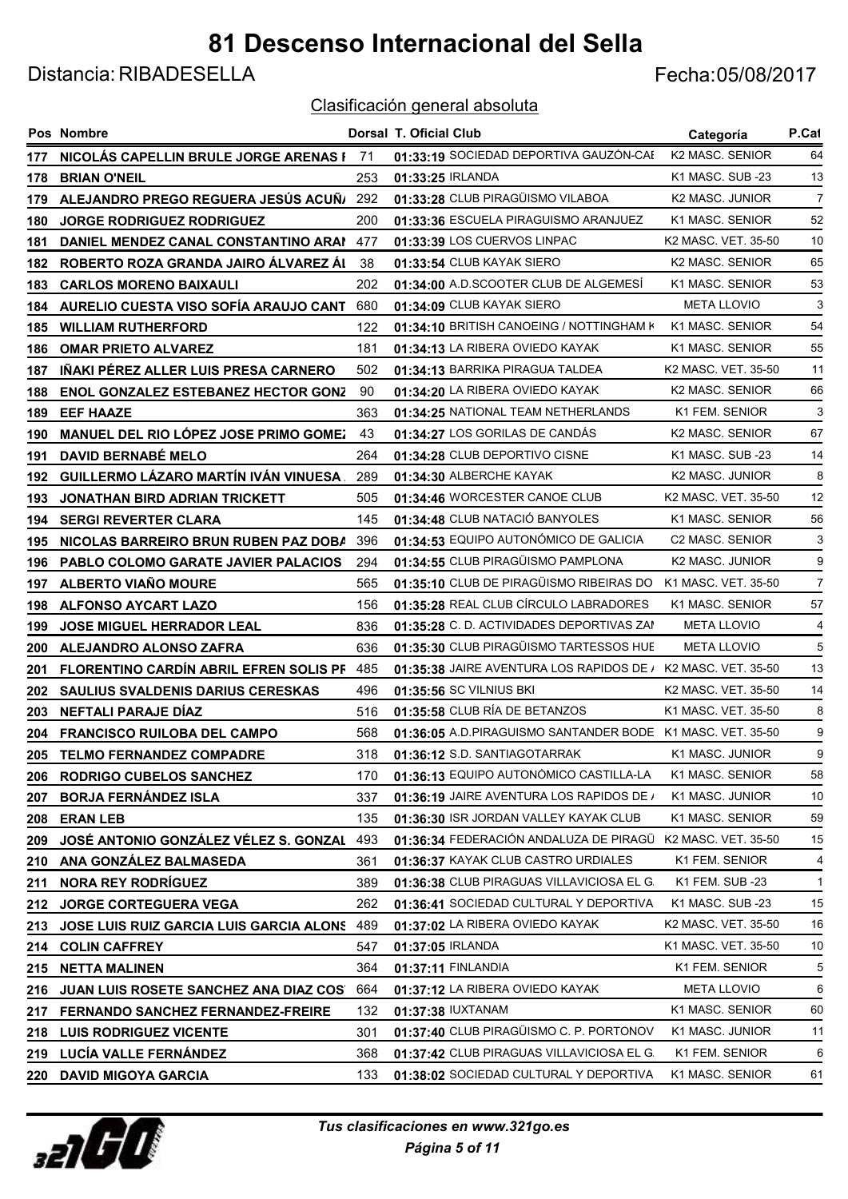Distancia: RIBADESELLA Fecha:05/08/2017

|     | Pos Nombre                                 |     | <b>Dorsal T. Oficial Club</b>                                | Categoría              | P.Cat          |
|-----|--------------------------------------------|-----|--------------------------------------------------------------|------------------------|----------------|
| 177 | NICOLÁS CAPELLIN BRULE JORGE ARENAS F 71   |     | 01:33:19 SOCIEDAD DEPORTIVA GAUZÓN-CAE                       | K2 MASC. SENIOR        | 64             |
| 178 | <b>BRIAN O'NEIL</b>                        | 253 | 01:33:25 IRLANDA                                             | K1 MASC. SUB -23       | 13             |
| 179 | ALEJANDRO PREGO REGUERA JESÚS ACUÑ/        | 292 | 01:33:28 CLUB PIRAGÜISMO VILABOA                             | K2 MASC. JUNIOR        | $\overline{7}$ |
| 180 | <b>JORGE RODRIGUEZ RODRIGUEZ</b>           | 200 | 01:33:36 ESCUELA PIRAGUISMO ARANJUEZ                         | K1 MASC. SENIOR        | 52             |
| 181 | DANIEL MENDEZ CANAL CONSTANTINO ARAM       | 477 | 01:33:39 LOS CUERVOS LINPAC                                  | K2 MASC. VET. 35-50    | 10             |
| 182 | ROBERTO ROZA GRANDA JAIRO ÁLVAREZ ÁI       | 38  | 01:33:54 CLUB KAYAK SIERO                                    | K2 MASC. SENIOR        | 65             |
| 183 | <b>CARLOS MORENO BAIXAULI</b>              | 202 | 01:34:00 A.D.SCOOTER CLUB DE ALGEMESÍ                        | K1 MASC, SENIOR        | 53             |
| 184 | AURELIO CUESTA VISO SOFÍA ARAUJO CANT      | 680 | 01:34:09 CLUB KAYAK SIERO                                    | <b>META LLOVIO</b>     | 3              |
| 185 | <b>WILLIAM RUTHERFORD</b>                  | 122 | 01:34:10 BRITISH CANOEING / NOTTINGHAM K                     | K1 MASC, SENIOR        | 54             |
| 186 | <b>OMAR PRIETO ALVAREZ</b>                 | 181 | 01:34:13 LA RIBERA OVIEDO KAYAK                              | K1 MASC. SENIOR        | 55             |
| 187 | IÑAKI PÉREZ ALLER LUIS PRESA CARNERO       | 502 | 01:34:13 BARRIKA PIRAGUA TALDEA                              | K2 MASC. VET. 35-50    | 11             |
| 188 | <b>ENOL GONZALEZ ESTEBANEZ HECTOR GONZ</b> | 90  | 01:34:20 LA RIBERA OVIEDO KAYAK                              | K2 MASC. SENIOR        | 66             |
| 189 | <b>EEF HAAZE</b>                           | 363 | 01:34:25 NATIONAL TEAM NETHERLANDS                           | K1 FEM. SENIOR         | 3              |
| 190 | MANUEL DEL RIO LÓPEZ JOSE PRIMO GOMEZ      | 43  | 01:34:27 LOS GORILAS DE CANDÁS                               | <b>K2 MASC, SENIOR</b> | 67             |
| 191 | <b>DAVID BERNABÉ MELO</b>                  | 264 | 01:34:28 CLUB DEPORTIVO CISNE                                | K1 MASC. SUB -23       | 14             |
| 192 | GUILLERMO LÁZARO MARTÍN IVÁN VINUESA.      | 289 | 01:34:30 ALBERCHE KAYAK                                      | K2 MASC. JUNIOR        | 8              |
| 193 | <b>JONATHAN BIRD ADRIAN TRICKETT</b>       | 505 | 01:34:46 WORCESTER CANOE CLUB                                | K2 MASC. VET. 35-50    | 12             |
| 194 | <b>SERGI REVERTER CLARA</b>                | 145 | 01:34:48 CLUB NATACIÓ BANYOLES                               | K1 MASC. SENIOR        | 56             |
| 195 | NICOLAS BARREIRO BRUN RUBEN PAZ DOBA       | 396 | 01:34:53 EQUIPO AUTONÓMICO DE GALICIA                        | C2 MASC. SENIOR        | 3              |
| 196 | PABLO COLOMO GARATE JAVIER PALACIOS        | 294 | 01:34:55 CLUB PIRAGÜISMO PAMPLONA                            | K2 MASC. JUNIOR        | 9              |
| 197 | <b>ALBERTO VIAÑO MOURE</b>                 | 565 | 01:35:10 CLUB DE PIRAGÜISMO RIBEIRAS DO                      | K1 MASC, VET, 35-50    | $\overline{7}$ |
| 198 | <b>ALFONSO AYCART LAZO</b>                 | 156 | 01:35:28 REAL CLUB CÍRCULO LABRADORES                        | K1 MASC. SENIOR        | 57             |
| 199 | <b>JOSE MIGUEL HERRADOR LEAL</b>           | 836 | 01:35:28 C. D. ACTIVIDADES DEPORTIVAS ZAM                    | <b>META LLOVIO</b>     | 4              |
| 200 | ALEJANDRO ALONSO ZAFRA                     | 636 | 01:35:30 CLUB PIRAGÜISMO TARTESSOS HUE                       | <b>META LLOVIO</b>     | 5              |
| 201 | FLORENTINO CARDÍN ABRIL EFREN SOLIS PF 485 |     | 01:35:38 JAIRE AVENTURA LOS RAPIDOS DE / K2 MASC. VET. 35-50 |                        | 13             |
| 202 | SAULIUS SVALDENIS DARIUS CERESKAS          | 496 | 01:35:56 SC VILNIUS BKI                                      | K2 MASC. VET. 35-50    | 14             |
| 203 | NEFTALI PARAJE DÍAZ                        | 516 | 01:35:58 CLUB RÍA DE BETANZOS                                | K1 MASC. VET. 35-50    | 8              |
| 204 | <b>FRANCISCO RUILOBA DEL CAMPO</b>         | 568 | 01:36:05 A.D.PIRAGUISMO SANTANDER BODE K1 MASC. VET. 35-50   |                        | 9              |
| 205 | <b>TELMO FERNANDEZ COMPADRE</b>            | 318 | 01:36:12 S.D. SANTIAGOTARRAK                                 | K1 MASC. JUNIOR        | 9              |
| 206 | <b>RODRIGO CUBELOS SANCHEZ</b>             | 170 | 01:36:13 EQUIPO AUTONÓMICO CASTILLA-LA                       | K1 MASC. SENIOR        | 58             |
| 207 | <b>BORJA FERNÁNDEZ ISLA</b>                | 337 | 01:36:19 JAIRE AVENTURA LOS RAPIDOS DE /                     | K1 MASC. JUNIOR        | 10             |
| 208 | <b>ERAN LEB</b>                            | 135 | 01:36:30 ISR JORDAN VALLEY KAYAK CLUB                        | K1 MASC. SENIOR        | 59             |
| 209 | JOSÉ ANTONIO GONZÁLEZ VÉLEZ S. GONZAL      | 493 | 01:36:34 FEDERACIÓN ANDALUZA DE PIRAGÜ                       | K2 MASC. VET. 35-50    | 15             |
| 210 | ANA GONZÁLEZ BALMASEDA                     | 361 | 01:36:37 KAYAK CLUB CASTRO URDIALES                          | K1 FEM. SENIOR         | 4              |
| 211 | <b>NORA REY RODRÍGUEZ</b>                  | 389 | 01:36:38 CLUB PIRAGUAS VILLAVICIOSA EL G.                    | K1 FEM. SUB -23        | $\mathbf{1}$   |
| 212 | JORGE CORTEGUERA VEGA                      | 262 | 01:36:41 SOCIEDAD CULTURAL Y DEPORTIVA                       | K1 MASC. SUB -23       | 15             |
| 213 | JOSE LUIS RUIZ GARCIA LUIS GARCIA ALONS    | 489 | 01:37:02 LA RIBERA OVIEDO KAYAK                              | K2 MASC. VET. 35-50    | 16             |
| 214 | <b>COLIN CAFFREY</b>                       | 547 | 01:37:05 IRLANDA                                             | K1 MASC. VET. 35-50    | 10             |
| 215 | <b>NETTA MALINEN</b>                       | 364 | 01:37:11 FINLANDIA                                           | K1 FEM. SENIOR         | 5              |
| 216 | JUAN LUIS ROSETE SANCHEZ ANA DIAZ COS      | 664 | 01:37:12 LA RIBERA OVIEDO KAYAK                              | <b>META LLOVIO</b>     | 6              |
| 217 | <b>FERNANDO SANCHEZ FERNANDEZ-FREIRE</b>   | 132 | 01:37:38 IUXTANAM                                            | K1 MASC. SENIOR        | 60             |
| 218 | <b>LUIS RODRIGUEZ VICENTE</b>              | 301 | 01:37:40 CLUB PIRAGÜISMO C. P. PORTONOV                      | K1 MASC. JUNIOR        | 11             |
|     | 219 LUCÍA VALLE FERNÁNDEZ                  | 368 | 01:37:42 CLUB PIRAGUAS VILLAVICIOSA EL G.                    | K1 FEM. SENIOR         | 6              |
| 220 | <b>DAVID MIGOYA GARCIA</b>                 | 133 | 01:38:02 SOCIEDAD CULTURAL Y DEPORTIVA                       | K1 MASC. SENIOR        | 61             |

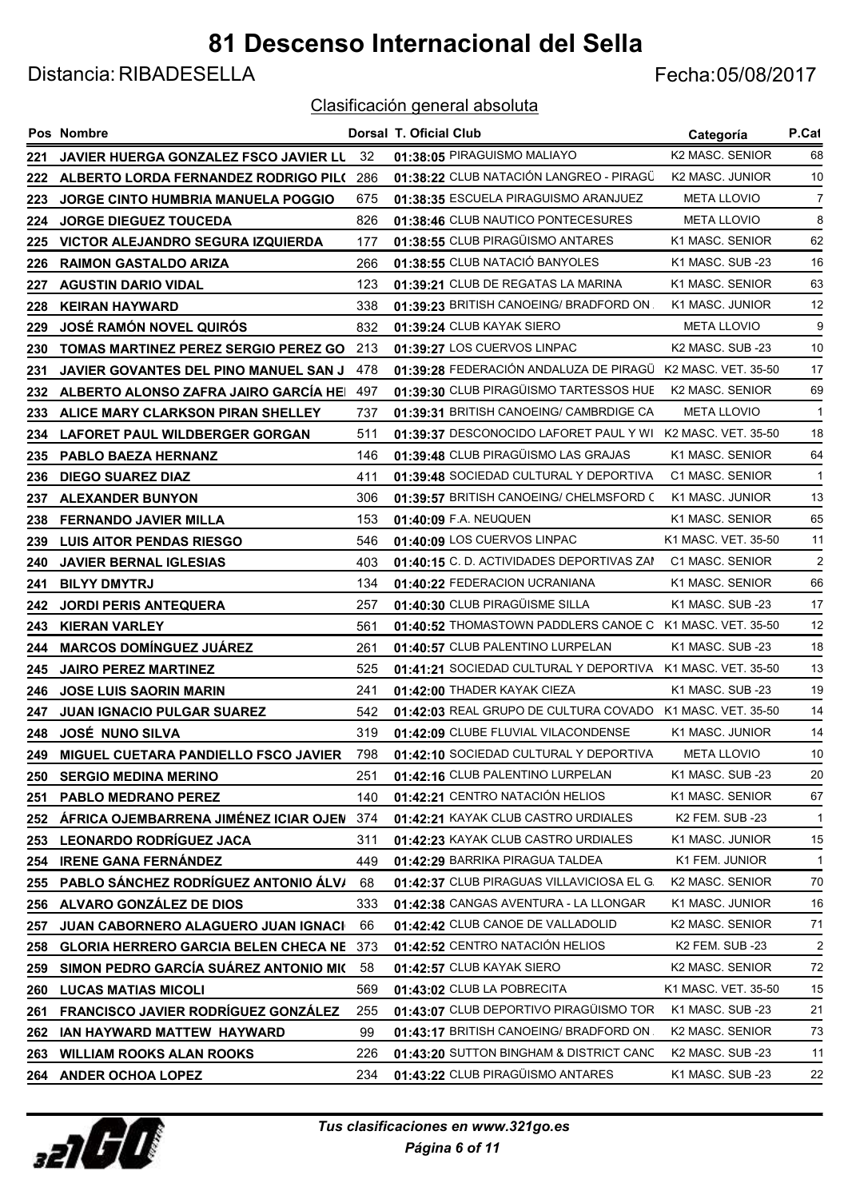Distancia: RIBADESELLA Fecha:05/08/2017

|     | Pos Nombre                                  |      | Dorsal T. Oficial Club                                     | Categoría                    | P.Cat          |
|-----|---------------------------------------------|------|------------------------------------------------------------|------------------------------|----------------|
| 221 | JAVIER HUERGA GONZALEZ FSCO JAVIER LU       | - 32 | 01:38:05 PIRAGUISMO MALIAYO                                | <b>K2 MASC, SENIOR</b>       | 68             |
| 222 | ALBERTO LORDA FERNANDEZ RODRIGO PIL(        | 286  | 01:38:22 CLUB NATACIÓN LANGREO - PIRAGÜ                    | K2 MASC. JUNIOR              | 10             |
| 223 | <b>JORGE CINTO HUMBRIA MANUELA POGGIO</b>   | 675  | 01:38:35 ESCUELA PIRAGUISMO ARANJUEZ                       | <b>META LLOVIO</b>           | $\overline{7}$ |
| 224 | <b>JORGE DIEGUEZ TOUCEDA</b>                | 826  | 01:38:46 CLUB NAUTICO PONTECESURES                         | <b>META LLOVIO</b>           | 8              |
| 225 | VICTOR ALEJANDRO SEGURA IZQUIERDA           | 177  | 01:38:55 CLUB PIRAGÜISMO ANTARES                           | K1 MASC. SENIOR              | 62             |
| 226 | <b>RAIMON GASTALDO ARIZA</b>                | 266  | 01:38:55 CLUB NATACIÓ BANYOLES                             | K1 MASC. SUB -23             | 16             |
| 227 | <b>AGUSTIN DARIO VIDAL</b>                  | 123  | 01:39:21 CLUB DE REGATAS LA MARINA                         | K1 MASC, SENIOR              | 63             |
| 228 | <b>KEIRAN HAYWARD</b>                       | 338  | 01:39:23 BRITISH CANOEING/ BRADFORD ON.                    | K1 MASC. JUNIOR              | 12             |
| 229 | <b>JOSÉ RAMÓN NOVEL QUIRÓS</b>              | 832  | 01:39:24 CLUB KAYAK SIERO                                  | <b>META LLOVIO</b>           | 9              |
| 230 | <b>TOMAS MARTINEZ PEREZ SERGIO PEREZ GO</b> | 213  | 01:39:27 LOS CUERVOS LINPAC                                | K <sub>2</sub> MASC, SUB -23 | 10             |
| 231 | JAVIER GOVANTES DEL PINO MANUEL SAN J       | 478  | 01:39:28 FEDERACIÓN ANDALUZA DE PIRAGÜ K2 MASC. VET. 35-50 |                              | 17             |
| 232 | ALBERTO ALONSO ZAFRA JAIRO GARCÍA HEI       | 497  | 01:39:30 CLUB PIRAGÜISMO TARTESSOS HUE                     | K2 MASC. SENIOR              | 69             |
| 233 | ALICE MARY CLARKSON PIRAN SHELLEY           | 737  | 01:39:31 BRITISH CANOEING/ CAMBRDIGE CA                    | <b>META LLOVIO</b>           | $\overline{1}$ |
| 234 | LAFORET PAUL WILDBERGER GORGAN              | 511  | 01:39:37 DESCONOCIDO LAFORET PAUL Y WI K2 MASC. VET. 35-50 |                              | 18             |
| 235 | PABLO BAEZA HERNANZ                         | 146  | 01:39:48 CLUB PIRAGÜISMO LAS GRAJAS                        | K1 MASC. SENIOR              | 64             |
| 236 | <b>DIEGO SUAREZ DIAZ</b>                    | 411  | 01:39:48 SOCIEDAD CULTURAL Y DEPORTIVA                     | C1 MASC. SENIOR              | $\mathbf{1}$   |
| 237 | <b>ALEXANDER BUNYON</b>                     | 306  | 01:39:57 BRITISH CANOEING/ CHELMSFORD C                    | K1 MASC. JUNIOR              | 13             |
| 238 | <b>FERNANDO JAVIER MILLA</b>                | 153  | 01:40:09 F.A. NEUQUEN                                      | K1 MASC. SENIOR              | 65             |
| 239 | <b>LUIS AITOR PENDAS RIESGO</b>             | 546  | 01:40:09 LOS CUERVOS LINPAC                                | K1 MASC. VET. 35-50          | 11             |
| 240 | <b>JAVIER BERNAL IGLESIAS</b>               | 403  | 01:40:15 C. D. ACTIVIDADES DEPORTIVAS ZAN                  | C1 MASC. SENIOR              | 2              |
| 241 | <b>BILYY DMYTRJ</b>                         | 134  | 01:40:22 FEDERACION UCRANIANA                              | K1 MASC. SENIOR              | 66             |
| 242 | <b>JORDI PERIS ANTEQUERA</b>                | 257  | 01:40:30 CLUB PIRAGÜISME SILLA                             | K1 MASC. SUB -23             | 17             |
| 243 | <b>KIERAN VARLEY</b>                        | 561  | 01:40:52 THOMASTOWN PADDLERS CANOE C K1 MASC. VET. 35-50   |                              | 12             |
| 244 | <b>MARCOS DOMÍNGUEZ JUÁREZ</b>              | 261  | 01:40:57 CLUB PALENTINO LURPELAN                           | K1 MASC. SUB -23             | 18             |
| 245 | <b>JAIRO PEREZ MARTINEZ</b>                 | 525  | 01:41:21 SOCIEDAD CULTURAL Y DEPORTIVA K1 MASC. VET. 35-50 |                              | 13             |
| 246 | <b>JOSE LUIS SAORIN MARIN</b>               | 241  | 01:42:00 THADER KAYAK CIEZA                                | K1 MASC. SUB -23             | 19             |
| 247 | <b>JUAN IGNACIO PULGAR SUAREZ</b>           | 542  | 01:42:03 REAL GRUPO DE CULTURA COVADO K1 MASC. VET. 35-50  |                              | 14             |
| 248 | <b>JOSÉ NUNO SILVA</b>                      | 319  | 01:42:09 CLUBE FLUVIAL VILACONDENSE                        | K1 MASC. JUNIOR              | 14             |
| 249 | MIGUEL CUETARA PANDIELLO FSCO JAVIER        | 798  | 01:42:10 SOCIEDAD CULTURAL Y DEPORTIVA                     | <b>META LLOVIO</b>           | 10             |
| 250 | <b>SERGIO MEDINA MERINO</b>                 | 251  | 01:42:16 CLUB PALENTINO LURPELAN                           | K1 MASC. SUB -23             | 20             |
| 251 | PABLO MEDRANO PEREZ                         | 140  | 01:42:21 CENTRO NATACIÓN HELIOS                            | K1 MASC. SENIOR              | 67             |
| 252 | ÁFRICA OJEMBARRENA JIMÉNEZ ICIAR OJEN       | 374  | 01:42:21 KAYAK CLUB CASTRO URDIALES                        | K2 FEM. SUB -23              | $\mathbf{1}$   |
| 253 | <b>LEONARDO RODRÍGUEZ JACA</b>              | 311  | 01:42:23 KAYAK CLUB CASTRO URDIALES                        | K1 MASC. JUNIOR              | 15             |
| 254 | <b>IRENE GANA FERNÁNDEZ</b>                 | 449  | 01:42:29 BARRIKA PIRAGUA TALDEA                            | K1 FEM. JUNIOR               | $\mathbf{1}$   |
| 255 | PABLO SÁNCHEZ RODRÍGUEZ ANTONIO ÁLV/        | 68   | 01:42:37 CLUB PIRAGUAS VILLAVICIOSA EL G.                  | K2 MASC. SENIOR              | 70             |
| 256 | ALVARO GONZÁLEZ DE DIOS                     | 333  | 01:42:38 CANGAS AVENTURA - LA LLONGAR                      | K1 MASC. JUNIOR              | 16             |
| 257 | JUAN CABORNERO ALAGUERO JUAN IGNACI         | 66   | 01:42:42 CLUB CANOE DE VALLADOLID                          | K2 MASC. SENIOR              | 71             |
| 258 | <b>GLORIA HERRERO GARCIA BELEN CHECA NE</b> | 373  | 01:42:52 CENTRO NATACIÓN HELIOS                            | K2 FEM. SUB -23              | $\overline{2}$ |
| 259 | SIMON PEDRO GARCÍA SUÁREZ ANTONIO MIC       | 58   | 01:42:57 CLUB KAYAK SIERO                                  | K2 MASC. SENIOR              | 72             |
| 260 | <b>LUCAS MATIAS MICOLI</b>                  | 569  | 01:43:02 CLUB LA POBRECITA                                 | K1 MASC. VET. 35-50          | 15             |
| 261 | FRANCISCO JAVIER RODRÍGUEZ GONZÁLEZ         | 255  | 01:43:07 CLUB DEPORTIVO PIRAGÜISMO TOR                     | K1 MASC. SUB -23             | 21             |
| 262 | IAN HAYWARD MATTEW HAYWARD                  | 99   | 01:43:17 BRITISH CANOEING/ BRADFORD ON.                    | K2 MASC. SENIOR              | 73             |
| 263 | <b>WILLIAM ROOKS ALAN ROOKS</b>             | 226  | 01:43:20 SUTTON BINGHAM & DISTRICT CANC                    | K2 MASC. SUB -23             | 11             |
|     | 264 ANDER OCHOA LOPEZ                       | 234  | 01:43:22 CLUB PIRAGÜISMO ANTARES                           | K1 MASC. SUB -23             | 22             |

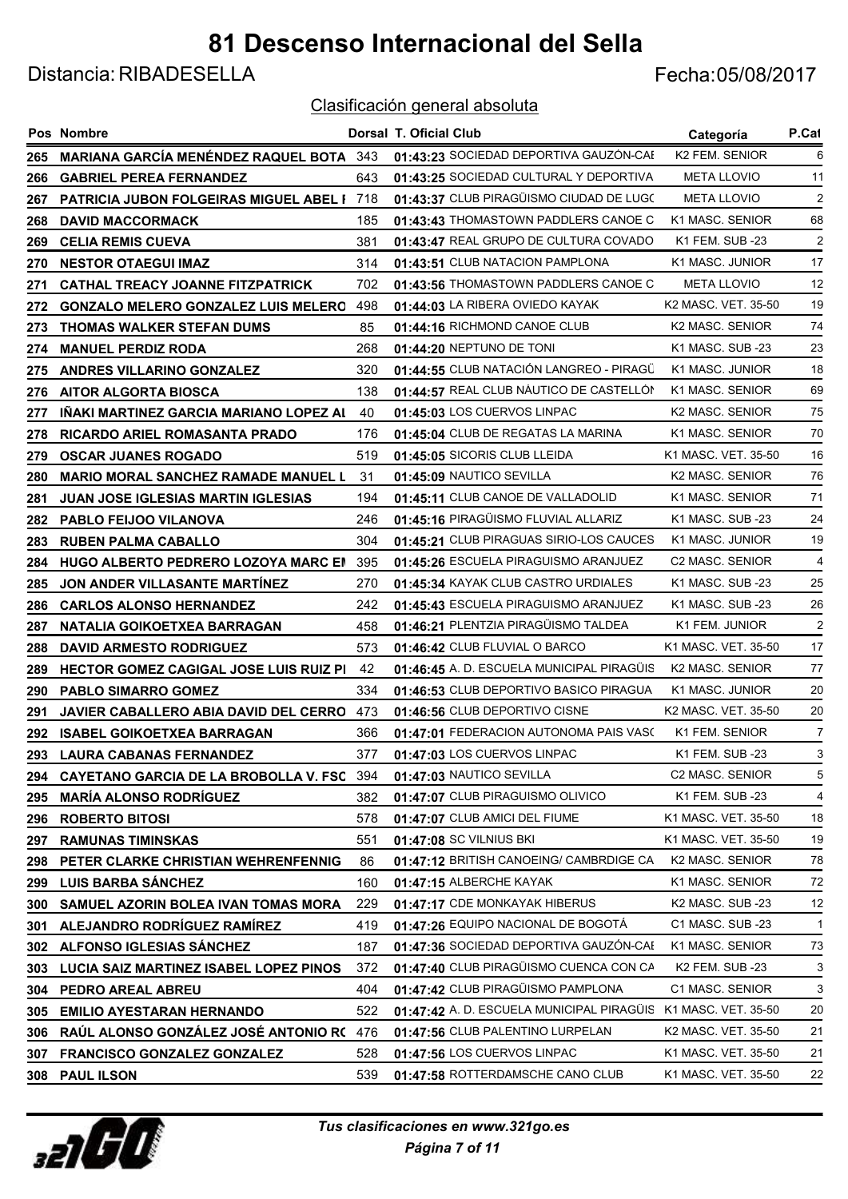Distancia: RIBADESELLA Fecha:05/08/2017

|     | <b>Pos Nombre</b>                                 |     | <b>Dorsal T. Oficial Club</b>             | Categoría              | P.Cat          |
|-----|---------------------------------------------------|-----|-------------------------------------------|------------------------|----------------|
| 265 | <b>MARIANA GARCÍA MENÉNDEZ RAQUEL BOTA</b> 343    |     | 01:43:23 SOCIEDAD DEPORTIVA GAUZÓN-CAE    | K2 FEM. SENIOR         | 6              |
| 266 | <b>GABRIEL PEREA FERNANDEZ</b>                    | 643 | 01:43:25 SOCIEDAD CULTURAL Y DEPORTIVA    | <b>META LLOVIO</b>     | 11             |
| 267 | <b>PATRICIA JUBON FOLGEIRAS MIGUEL ABEL 1 718</b> |     | 01:43:37 CLUB PIRAGÜISMO CIUDAD DE LUGO   | <b>META LLOVIO</b>     | 2              |
| 268 | <b>DAVID MACCORMACK</b>                           | 185 | 01:43:43 THOMASTOWN PADDLERS CANOE C      | K1 MASC. SENIOR        | 68             |
| 269 | <b>CELIA REMIS CUEVA</b>                          | 381 | 01:43:47 REAL GRUPO DE CULTURA COVADO     | K1 FEM. SUB -23        | $\overline{2}$ |
| 270 | <b>NESTOR OTAEGUI IMAZ</b>                        | 314 | 01:43:51 CLUB NATACION PAMPLONA           | K1 MASC. JUNIOR        | 17             |
| 271 | <b>CATHAL TREACY JOANNE FITZPATRICK</b>           | 702 | 01:43:56 THOMASTOWN PADDLERS CANOE C      | <b>META LLOVIO</b>     | 12             |
| 272 | <b>GONZALO MELERO GONZALEZ LUIS MELERO</b>        | 498 | 01:44:03 LA RIBERA OVIEDO KAYAK           | K2 MASC. VET. 35-50    | 19             |
| 273 | <b>THOMAS WALKER STEFAN DUMS</b>                  | 85  | 01:44:16 RICHMOND CANOE CLUB              | K2 MASC. SENIOR        | 74             |
| 274 | <b>MANUEL PERDIZ RODA</b>                         | 268 | 01:44:20 NEPTUNO DE TONI                  | K1 MASC. SUB -23       | 23             |
| 275 | ANDRES VILLARINO GONZALEZ                         | 320 | 01:44:55 CLUB NATACIÓN LANGREO - PIRAGÜ   | K1 MASC. JUNIOR        | 18             |
| 276 | <b>AITOR ALGORTA BIOSCA</b>                       | 138 | 01:44:57 REAL CLUB NÁUTICO DE CASTELLÓN   | K1 MASC. SENIOR        | 69             |
| 277 | <u>INAKI MARTINEZ GARCIA MARIANO LOPEZ AL</u>     | 40  | 01:45:03 LOS CUERVOS LINPAC               | <b>K2 MASC, SENIOR</b> | 75             |
| 278 | RICARDO ARIEL ROMASANTA PRADO                     | 176 | 01:45:04 CLUB DE REGATAS LA MARINA        | K1 MASC. SENIOR        | 70             |
| 279 | <b>OSCAR JUANES ROGADO</b>                        | 519 | 01:45:05 SICORIS CLUB LLEIDA              | K1 MASC. VET. 35-50    | 16             |
| 280 | <b>MARIO MORAL SANCHEZ RAMADE MANUEL L</b>        | 31  | 01:45:09 NAUTICO SEVILLA                  | K2 MASC. SENIOR        | 76             |
| 281 | JUAN JOSE IGLESIAS MARTIN IGLESIAS                | 194 | 01:45:11 CLUB CANOE DE VALLADOLID         | K1 MASC. SENIOR        | 71             |
| 282 | <b>PABLO FEIJOO VILANOVA</b>                      | 246 | 01:45:16 PIRAGÜISMO FLUVIAL ALLARIZ       | K1 MASC. SUB -23       | 24             |
| 283 | <b>RUBEN PALMA CABALLO</b>                        | 304 | 01:45:21 CLUB PIRAGUAS SIRIO-LOS CAUCES   | K1 MASC. JUNIOR        | 19             |
| 284 | HUGO ALBERTO PEDRERO LOZOYA MARC EN               | 395 | 01:45:26 ESCUELA PIRAGUISMO ARANJUEZ      | C2 MASC. SENIOR        | 4              |
| 285 | JON ANDER VILLASANTE MARTINEZ                     | 270 | 01:45:34 KAYAK CLUB CASTRO URDIALES       | K1 MASC. SUB -23       | 25             |
| 286 | <b>CARLOS ALONSO HERNANDEZ</b>                    | 242 | 01:45:43 ESCUELA PIRAGUISMO ARANJUEZ      | K1 MASC. SUB -23       | 26             |
| 287 | NATALIA GOIKOETXEA BARRAGAN                       | 458 | 01:46:21 PLENTZIA PIRAGÜISMO TALDEA       | K1 FEM. JUNIOR         | $\overline{2}$ |
| 288 | <b>DAVID ARMESTO RODRIGUEZ</b>                    | 573 | 01:46:42 CLUB FLUVIAL O BARCO             | K1 MASC, VET, 35-50    | 17             |
| 289 | <b>HECTOR GOMEZ CAGIGAL JOSE LUIS RUIZ PI</b>     | -42 | 01:46:45 A. D. ESCUELA MUNICIPAL PIRAGÜIS | K2 MASC. SENIOR        | 77             |
| 290 | <b>PABLO SIMARRO GOMEZ</b>                        | 334 | 01:46:53 CLUB DEPORTIVO BASICO PIRAGUA    | K1 MASC. JUNIOR        | 20             |
| 291 | JAVIER CABALLERO ABIA DAVID DEL CERRO             | 473 | 01:46:56 CLUB DEPORTIVO CISNE             | K2 MASC, VET, 35-50    | 20             |
| 292 | <b>ISABEL GOIKOETXEA BARRAGAN</b>                 | 366 | 01:47:01 FEDERACION AUTONOMA PAIS VASO    | K1 FEM. SENIOR         | 7              |
|     | 293 LAURA CABANAS FERNANDEZ                       | 377 | 01:47:03 LOS CUERVOS LINPAC               | K1 FEM. SUB -23        | 3              |
| 294 | <b>CAYETANO GARCIA DE LA BROBOLLA V. FSC 394</b>  |     | 01:47:03 NAUTICO SEVILLA                  | C2 MASC. SENIOR        | 5              |
| 295 | <b>MARIA ALONSO RODRIGUEZ</b>                     | 382 | 01:47:07 CLUB PIRAGUISMO OLIVICO          | K1 FEM. SUB -23        | 4              |
| 296 | <b>ROBERTO BITOSI</b>                             | 578 | 01:47:07 CLUB AMICI DEL FIUME             | K1 MASC. VET. 35-50    | 18             |
| 297 | <b>RAMUNAS TIMINSKAS</b>                          | 551 | 01:47:08 SC VILNIUS BKI                   | K1 MASC. VET. 35-50    | 19             |
| 298 | PETER CLARKE CHRISTIAN WEHRENFENNIG               | 86  | 01:47:12 BRITISH CANOEING/ CAMBRDIGE CA   | K2 MASC. SENIOR        | 78             |
| 299 | <b>LUIS BARBA SANCHEZ</b>                         | 160 | 01:47:15 ALBERCHE KAYAK                   | K1 MASC. SENIOR        | 72             |
| 300 | SAMUEL AZORIN BOLEA IVAN TOMAS MORA               | 229 | 01:47:17 CDE MONKAYAK HIBERUS             | K2 MASC. SUB -23       | 12             |
| 301 | ALEJANDRO RODRÍGUEZ RAMÍREZ                       | 419 | 01:47:26 EQUIPO NACIONAL DE BOGOTÁ        | C1 MASC. SUB -23       | $\mathbf{1}$   |
| 302 | ALFONSO IGLESIAS SANCHEZ                          | 187 | 01:47:36 SOCIEDAD DEPORTIVA GAUZÓN-CAE    | K1 MASC. SENIOR        | 73             |
| 303 | LUCIA SAIZ MARTINEZ ISABEL LOPEZ PINOS            | 372 | 01:47:40 CLUB PIRAGÜISMO CUENCA CON CA    | K2 FEM. SUB -23        | 3              |
| 304 | PEDRO AREAL ABREU                                 | 404 | 01:47:42 CLUB PIRAGÜISMO PAMPLONA         | C1 MASC. SENIOR        | 3              |
| 305 | <b>EMILIO AYESTARAN HERNANDO</b>                  | 522 | 01:47:42 A. D. ESCUELA MUNICIPAL PIRAGÜIS | K1 MASC. VET. 35-50    | 20             |
| 306 | RAUL ALONSO GONZALEZ JOSÉ ANTONIO RO              | 476 | 01:47:56 CLUB PALENTINO LURPELAN          | K2 MASC. VET. 35-50    | 21             |
| 307 | <b>FRANCISCO GONZALEZ GONZALEZ</b>                | 528 | 01:47:56 LOS CUERVOS LINPAC               | K1 MASC. VET. 35-50    | 21             |
|     | 308 PAUL ILSON                                    | 539 | 01:47:58 ROTTERDAMSCHE CANO CLUB          | K1 MASC. VET. 35-50    | 22             |

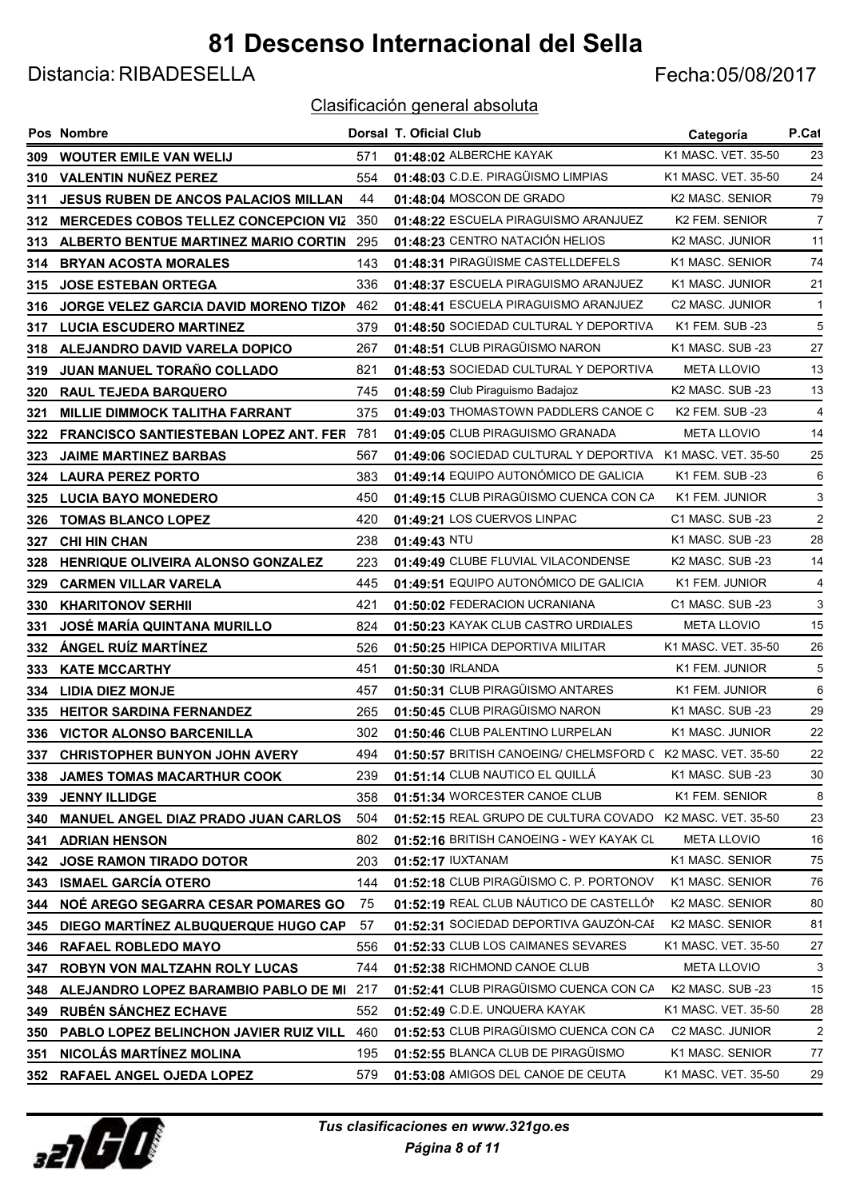Distancia: RIBADESELLA Fecha:05/08/2017

|       | Pos Nombre                                   |     | Dorsal T. Oficial Club                                      | Categoría                    | P.Cat          |
|-------|----------------------------------------------|-----|-------------------------------------------------------------|------------------------------|----------------|
| 309.  | <b>WOUTER EMILE VAN WELIJ</b>                | 571 | 01:48:02 ALBERCHE KAYAK                                     | K1 MASC, VET, 35-50          | 23             |
| 310   | <b>VALENTIN NUÑEZ PEREZ</b>                  | 554 | 01:48:03 C.D.E. PIRAGÜISMO LIMPIAS                          | K1 MASC. VET. 35-50          | 24             |
| 311   | <b>JESUS RUBEN DE ANCOS PALACIOS MILLAN</b>  | 44  | 01:48:04 MOSCON DE GRADO                                    | K2 MASC. SENIOR              | 79             |
| 312   | <b>MERCEDES COBOS TELLEZ CONCEPCION VIZ</b>  | 350 | 01:48:22 ESCUELA PIRAGUISMO ARANJUEZ                        | K2 FEM. SENIOR               | 7              |
| 313   | ALBERTO BENTUE MARTINEZ MARIO CORTIN         | 295 | 01:48:23 CENTRO NATACIÓN HELIOS                             | K2 MASC. JUNIOR              | 11             |
| 314   | <b>BRYAN ACOSTA MORALES</b>                  | 143 | 01:48:31 PIRAGÜISME CASTELLDEFELS                           | K1 MASC. SENIOR              | 74             |
| 315   | <b>JOSE ESTEBAN ORTEGA</b>                   | 336 | 01:48:37 ESCUELA PIRAGUISMO ARANJUEZ                        | K1 MASC. JUNIOR              | 21             |
| 316   | <b>JORGE VELEZ GARCIA DAVID MORENO TIZON</b> | 462 | 01:48:41 ESCUELA PIRAGUISMO ARANJUEZ                        | <b>C2 MASC. JUNIOR</b>       | -1             |
| 317   | <b>LUCIA ESCUDERO MARTINEZ</b>               | 379 | 01:48:50 SOCIEDAD CULTURAL Y DEPORTIVA                      | K1 FEM. SUB -23              | 5              |
| 318   | ALEJANDRO DAVID VARELA DOPICO                | 267 | 01:48:51 CLUB PIRAGÜISMO NARON                              | K1 MASC. SUB -23             | 27             |
| 319   | JUAN MANUEL TORAÑO COLLADO                   | 821 | 01:48:53 SOCIEDAD CULTURAL Y DEPORTIVA                      | <b>META LLOVIO</b>           | 13             |
| 320   | <b>RAUL TEJEDA BARQUERO</b>                  | 745 | 01:48:59 Club Piraguismo Badajoz                            | K <sub>2</sub> MASC, SUB -23 | 13             |
| 321   | <b>MILLIE DIMMOCK TALITHA FARRANT</b>        | 375 | 01:49:03 THOMASTOWN PADDLERS CANOE C                        | <b>K2 FEM. SUB -23</b>       | $\overline{4}$ |
| 322   | <b>FRANCISCO SANTIESTEBAN LOPEZ ANT. FER</b> | 781 | 01:49:05 CLUB PIRAGUISMO GRANADA                            | <b>META LLOVIO</b>           | 14             |
| 323   | <b>JAIME MARTINEZ BARBAS</b>                 | 567 | 01:49:06 SOCIEDAD CULTURAL Y DEPORTIVA K1 MASC. VET. 35-50  |                              | 25             |
| 324   | <b>LAURA PEREZ PORTO</b>                     | 383 | 01:49:14 EQUIPO AUTONÓMICO DE GALICIA                       | K1 FEM. SUB -23              | 6              |
| 325   | <b>LUCIA BAYO MONEDERO</b>                   | 450 | 01:49:15 CLUB PIRAGÜISMO CUENCA CON CA                      | K1 FEM. JUNIOR               | 3              |
| 326   | <b>TOMAS BLANCO LOPEZ</b>                    | 420 | 01:49:21 LOS CUERVOS LINPAC                                 | C1 MASC. SUB -23             | $\overline{2}$ |
| 327   | <b>CHI HIN CHAN</b>                          | 238 | $01:49:43$ NTU                                              | K1 MASC, SUB-23              | 28             |
| 328   | <b>HENRIQUE OLIVEIRA ALONSO GONZALEZ</b>     | 223 | 01:49:49 CLUBE FLUVIAL VILACONDENSE                         | K2 MASC. SUB -23             | 14             |
| 329   | <b>CARMEN VILLAR VARELA</b>                  | 445 | 01:49:51 EQUIPO AUTONÓMICO DE GALICIA                       | K1 FEM. JUNIOR               | 4              |
| 330   | <b>KHARITONOV SERHII</b>                     | 421 | 01:50:02 FEDERACION UCRANIANA                               | C1 MASC. SUB -23             | 3              |
| 331   | <b>JOSÉ MARÍA QUINTANA MURILLO</b>           | 824 | 01:50:23 KAYAK CLUB CASTRO URDIALES                         | <b>META LLOVIO</b>           | 15             |
| 332   | <b>ÁNGEL RUÍZ MARTÍNEZ</b>                   | 526 | 01:50:25 HIPICA DEPORTIVA MILITAR                           | K1 MASC. VET. 35-50          | 26             |
| 333   | <b>KATE MCCARTHY</b>                         | 451 | 01:50:30 IRLANDA                                            | K1 FEM. JUNIOR               | 5              |
| 334   | <b>LIDIA DIEZ MONJE</b>                      | 457 | 01:50:31 CLUB PIRAGÜISMO ANTARES                            | K1 FEM. JUNIOR               | 6              |
| 335   | <b>HEITOR SARDINA FERNANDEZ</b>              | 265 | 01:50:45 CLUB PIRAGÜISMO NARON                              | K1 MASC. SUB -23             | 29             |
| 336   | <b>VICTOR ALONSO BARCENILLA</b>              | 302 | 01:50:46 CLUB PALENTINO LURPELAN                            | K1 MASC. JUNIOR              | 22             |
| 337 - | <b>CHRISTOPHER BUNYON JOHN AVERY</b>         | 494 | 01:50:57 BRITISH CANOEING/ CHELMSFORD C K2 MASC. VET. 35-50 |                              | 22             |
| 338   | <b>JAMES TOMAS MACARTHUR COOK</b>            | 239 | 01:51:14 CLUB NAUTICO EL QUILLÁ                             | K1 MASC. SUB -23             | 30             |
| 339   | <b>JENNY ILLIDGE</b>                         | 358 | 01:51:34 WORCESTER CANOE CLUB                               | K1 FEM. SENIOR               | 8              |
| 340   | <b>MANUEL ANGEL DIAZ PRADO JUAN CARLOS</b>   | 504 | 01:52:15 REAL GRUPO DE CULTURA COVADO K2 MASC. VET. 35-50   |                              | 23             |
| 341   | <b>ADRIAN HENSON</b>                         | 802 | 01:52:16 BRITISH CANOEING - WEY KAYAK CL                    | <b>META LLOVIO</b>           | 16             |
| 342   | <b>JOSE RAMON TIRADO DOTOR</b>               | 203 | 01:52:17 IUXTANAM                                           | K1 MASC. SENIOR              | 75             |
| 343   | <b>ISMAEL GARCÍA OTERO</b>                   | 144 | 01:52:18 CLUB PIRAGÜISMO C. P. PORTONOV                     | K1 MASC. SENIOR              | 76             |
| 344   | NOÉ AREGO SEGARRA CESAR POMARES GO           | 75  | 01:52:19 REAL CLUB NÁUTICO DE CASTELLÓN                     | K2 MASC. SENIOR              | 80             |
| 345   | DIEGO MARTÍNEZ ALBUQUERQUE HUGO CAP          | 57  | 01:52:31 SOCIEDAD DEPORTIVA GAUZÓN-CAE                      | K2 MASC. SENIOR              | 81             |
| 346   | <b>RAFAEL ROBLEDO MAYO</b>                   | 556 | 01:52:33 CLUB LOS CAIMANES SEVARES                          | K1 MASC. VET. 35-50          | 27             |
| 347   | ROBYN VON MALTZAHN ROLY LUCAS                | 744 | 01:52:38 RICHMOND CANOE CLUB                                | <b>META LLOVIO</b>           | 3              |
| 348   | ALEJANDRO LOPEZ BARAMBIO PABLO DE MI         | 217 | 01:52:41 CLUB PIRAGÜISMO CUENCA CON CA                      | K2 MASC. SUB -23             | 15             |
| 349   | <b>RUBÉN SÁNCHEZ ECHAVE</b>                  | 552 | 01:52:49 C.D.E. UNQUERA KAYAK                               | K1 MASC. VET. 35-50          | 28             |
| 350   | PABLO LOPEZ BELINCHON JAVIER RUIZ VILL       | 460 | 01:52:53 CLUB PIRAGÜISMO CUENCA CON CA                      | C2 MASC. JUNIOR              | $\overline{2}$ |
| 351   | NICOLÁS MARTÍNEZ MOLINA                      | 195 | 01:52:55 BLANCA CLUB DE PIRAGÜISMO                          | K1 MASC. SENIOR              | 77             |
| 352   | RAFAEL ANGEL OJEDA LOPEZ                     | 579 | 01:53:08 AMIGOS DEL CANOE DE CEUTA                          | K1 MASC. VET. 35-50          | 29             |

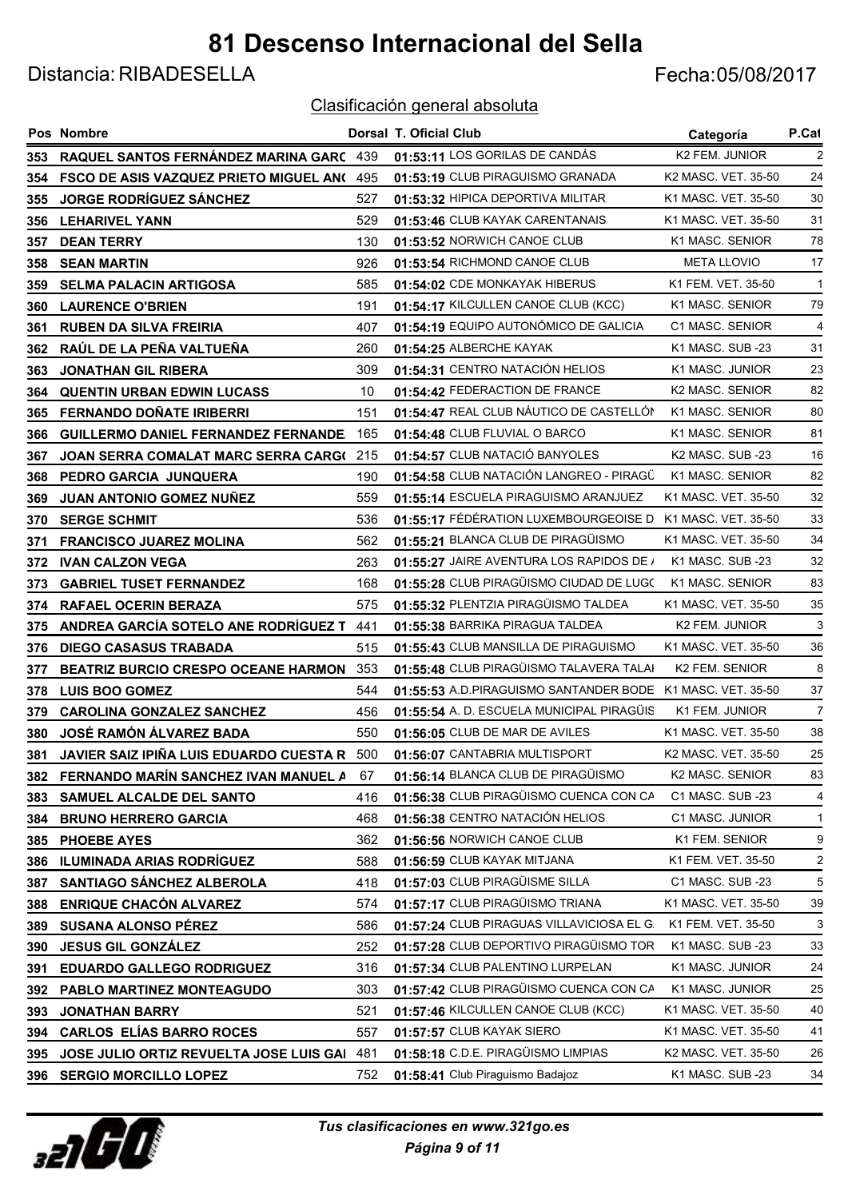Distancia: RIBADESELLA Fecha:05/08/2017

|      | Pos Nombre                                    |     | Dorsal T. Oficial Club                                     | Categoría                    | P.Cat          |
|------|-----------------------------------------------|-----|------------------------------------------------------------|------------------------------|----------------|
| 353. | RAQUEL SANTOS FERNÁNDEZ MARINA GARC 439       |     | 01:53:11 LOS GORILAS DE CANDÁS                             | K2 FEM. JUNIOR               | 2              |
| 354  | <b>FSCO DE ASIS VAZQUEZ PRIETO MIGUEL ANO</b> | 495 | 01:53:19 CLUB PIRAGUISMO GRANADA                           | K2 MASC. VET. 35-50          | 24             |
| 355  | <b>JORGE RODRÍGUEZ SÁNCHEZ</b>                | 527 | 01:53:32 HIPICA DEPORTIVA MILITAR                          | K1 MASC. VET. 35-50          | 30             |
| 356  | <b>LEHARIVEL YANN</b>                         | 529 | 01:53:46 CLUB KAYAK CARENTANAIS                            | K1 MASC. VET. 35-50          | 31             |
| 357  | <b>DEAN TERRY</b>                             | 130 | 01:53:52 NORWICH CANOE CLUB                                | K1 MASC. SENIOR              | 78             |
| 358  | <b>SEAN MARTIN</b>                            | 926 | 01:53:54 RICHMOND CANOE CLUB                               | <b>META LLOVIO</b>           | 17             |
| 359  | <b>SELMA PALACIN ARTIGOSA</b>                 | 585 | 01:54:02 CDE MONKAYAK HIBERUS                              | K1 FEM. VET. 35-50           | $\mathbf{1}$   |
| 360  | <b>LAURENCE O'BRIEN</b>                       | 191 | 01:54:17 KILCULLEN CANOE CLUB (KCC)                        | K1 MASC. SENIOR              | 79             |
| 361  | <b>RUBEN DA SILVA FREIRIA</b>                 | 407 | 01:54:19 EQUIPO AUTONÓMICO DE GALICIA                      | C1 MASC. SENIOR              | $\overline{4}$ |
| 362  | RAÚL DE LA PEÑA VALTUEÑA                      | 260 | 01:54:25 ALBERCHE KAYAK                                    | K1 MASC. SUB -23             | 31             |
| 363  | <b>JONATHAN GIL RIBERA</b>                    | 309 | 01:54:31 CENTRO NATACIÓN HELIOS                            | K1 MASC. JUNIOR              | 23             |
| 364  | <b>QUENTIN URBAN EDWIN LUCASS</b>             | 10  | 01:54:42 FEDERACTION DE FRANCE                             | K2 MASC. SENIOR              | 82             |
| 365  | <b>FERNANDO DOÑATE IRIBERRI</b>               | 151 | 01:54:47 REAL CLUB NÁUTICO DE CASTELLÓN                    | K1 MASC, SENIOR              | 80             |
| 366  | <b>GUILLERMO DANIEL FERNANDEZ FERNANDE</b>    | 165 | 01:54:48 CLUB FLUVIAL O BARCO                              | K1 MASC, SENIOR              | 81             |
| 367  | JOAN SERRA COMALAT MARC SERRA CARG(           | 215 | 01:54:57 CLUB NATACIÓ BANYOLES                             | K <sub>2</sub> MASC, SUB -23 | 16             |
| 368  | PEDRO GARCIA JUNQUERA                         | 190 | 01:54:58 CLUB NATACIÓN LANGREO - PIRAGÜ                    | K1 MASC, SENIOR              | 82             |
| 369  | JUAN ANTONIO GOMEZ NUÑEZ                      | 559 | 01:55:14 ESCUELA PIRAGUISMO ARANJUEZ                       | K1 MASC, VET, 35-50          | 32             |
| 370  | <b>SERGE SCHMIT</b>                           | 536 | 01:55:17 FÉDÉRATION LUXEMBOURGEOISE D                      | K1 MASC, VET, 35-50          | 33             |
| 371  | <b>FRANCISCO JUAREZ MOLINA</b>                | 562 | 01:55:21 BLANCA CLUB DE PIRAGÜISMO                         | K1 MASC, VET, 35-50          | 34             |
| 372  | <b>IVAN CALZON VEGA</b>                       | 263 | 01:55:27 JAIRE AVENTURA LOS RAPIDOS DE /                   | K1 MASC, SUB -23             | 32             |
| 373  | <b>GABRIEL TUSET FERNANDEZ</b>                | 168 | 01:55:28 CLUB PIRAGÜISMO CIUDAD DE LUGO                    | K1 MASC, SENIOR              | 83             |
| 374  | <b>RAFAEL OCERIN BERAZA</b>                   | 575 | 01:55:32 PLENTZIA PIRAGÜISMO TALDEA                        | K1 MASC. VET. 35-50          | 35             |
| 375  | ANDREA GARCÍA SOTELO ANE RODRÍGUEZ T          | 441 | 01:55:38 BARRIKA PIRAGUA TALDEA                            | K2 FEM. JUNIOR               | 3              |
| 376  | <b>DIEGO CASASUS TRABADA</b>                  | 515 | 01:55:43 CLUB MANSILLA DE PIRAGUISMO                       | K1 MASC. VET. 35-50          | 36             |
| 377  | <b>BEATRIZ BURCIO CRESPO OCEANE HARMON</b>    | 353 | 01:55:48 CLUB PIRAGÜISMO TALAVERA TALAI                    | K2 FEM. SENIOR               | 8              |
| 378  | <b>LUIS BOO GOMEZ</b>                         | 544 | 01:55:53 A.D.PIRAGUISMO SANTANDER BODE K1 MASC. VET. 35-50 |                              | 37             |
| 379  | <b>CAROLINA GONZALEZ SANCHEZ</b>              | 456 | 01:55:54 A. D. ESCUELA MUNICIPAL PIRAGÜIS                  | K1 FEM. JUNIOR               | $\overline{7}$ |
| 380  | JOSÉ RAMÓN ÁLVAREZ BADA                       | 550 | 01:56:05 CLUB DE MAR DE AVILES                             | K1 MASC, VET, 35-50          | 38             |
| 381. | JAVIER SAIZ IPIÑA LUIS EDUARDO CUESTA R       | 500 | 01:56:07 CANTABRIA MULTISPORT                              | K2 MASC, VET, 35-50          | 25             |
| 382  | FERNANDO MARÍN SANCHEZ IVAN MANUEL A          | 67  | 01:56:14 BLANCA CLUB DE PIRAGÜISMO                         | K2 MASC. SENIOR              | 83             |
| 383  | SAMUEL ALCALDE DEL SANTO                      | 416 | 01:56:38 CLUB PIRAGÜISMO CUENCA CON CA                     | C1 MASC. SUB -23             | 4              |
| 384  | <b>BRUNO HERRERO GARCIA</b>                   | 468 | 01:56:38 CENTRO NATACIÓN HELIOS                            | C1 MASC. JUNIOR              | $\mathbf{1}$   |
| 385  | <b>PHOEBE AYES</b>                            | 362 | 01:56:56 NORWICH CANOE CLUB                                | K1 FEM. SENIOR               | 9              |
| 386  | <b>ILUMINADA ARIAS RODRÍGUEZ</b>              | 588 | 01:56:59 CLUB KAYAK MITJANA                                | K1 FEM. VET. 35-50           | 2              |
| 387  | SANTIAGO SÁNCHEZ ALBEROLA                     | 418 | 01:57:03 CLUB PIRAGÜISME SILLA                             | C1 MASC. SUB -23             | 5              |
| 388  | <b>ENRIQUE CHACÓN ALVAREZ</b>                 | 574 | 01:57:17 CLUB PIRAGÜISMO TRIANA                            | K1 MASC. VET. 35-50          | 39             |
| 389  | <b>SUSANA ALONSO PÉREZ</b>                    | 586 | 01:57:24 CLUB PIRAGUAS VILLAVICIOSA EL G.                  | K1 FEM. VET. 35-50           | 3              |
| 390  | <b>JESUS GIL GONZÁLEZ</b>                     | 252 | 01:57:28 CLUB DEPORTIVO PIRAGÜISMO TOR                     | K1 MASC. SUB -23             | 33             |
| 391  | <b>EDUARDO GALLEGO RODRIGUEZ</b>              | 316 | 01:57:34 CLUB PALENTINO LURPELAN                           | K1 MASC. JUNIOR              | 24             |
| 392  | PABLO MARTINEZ MONTEAGUDO                     | 303 | 01:57:42 CLUB PIRAGÜISMO CUENCA CON CA                     | K1 MASC. JUNIOR              | 25             |
| 393  | <b>JONATHAN BARRY</b>                         | 521 | 01:57:46 KILCULLEN CANOE CLUB (KCC)                        | K1 MASC. VET. 35-50          | 40             |
| 394  | <b>CARLOS ELÍAS BARRO ROCES</b>               | 557 | 01:57:57 CLUB KAYAK SIERO                                  | K1 MASC. VET. 35-50          | 41             |
| 395  | JOSE JULIO ORTIZ REVUELTA JOSE LUIS GAI       | 481 | 01:58:18 C.D.E. PIRAGÜISMO LIMPIAS                         | K2 MASC. VET. 35-50          | 26             |
|      | 396 SERGIO MORCILLO LOPEZ                     | 752 | 01:58:41 Club Piraguismo Badajoz                           | K1 MASC. SUB -23             | 34             |

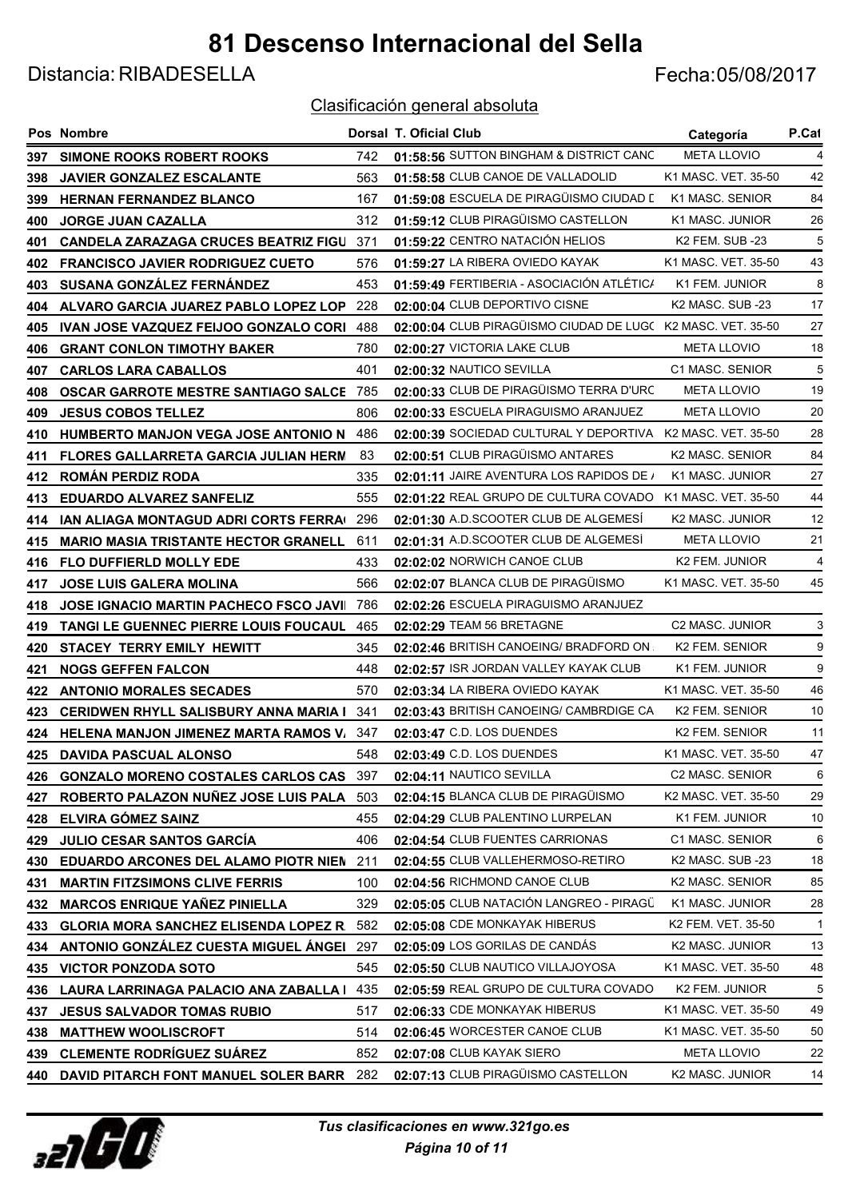Distancia: RIBADESELLA Fecha:05/08/2017

|     | Pos Nombre                                     |     | Dorsal T. Oficial Club                                      | Categoría                    | P.Cat        |
|-----|------------------------------------------------|-----|-------------------------------------------------------------|------------------------------|--------------|
|     | 397 SIMONE ROOKS ROBERT ROOKS                  | 742 | 01:58:56 SUTTON BINGHAM & DISTRICT CANC                     | <b>META LLOVIO</b>           | 4            |
| 398 | <b>JAVIER GONZALEZ ESCALANTE</b>               | 563 | 01:58:58 CLUB CANOE DE VALLADOLID                           | K1 MASC, VET, 35-50          | 42           |
| 399 | <b>HERNAN FERNANDEZ BLANCO</b>                 | 167 | 01:59:08 ESCUELA DE PIRAGÜISMO CIUDAD L                     | K1 MASC, SENIOR              | 84           |
| 400 | <b>JORGE JUAN CAZALLA</b>                      | 312 | 01:59:12 CLUB PIRAGÜISMO CASTELLON                          | K1 MASC. JUNIOR              | 26           |
| 401 | <b>CANDELA ZARAZAGA CRUCES BEATRIZ FIGU</b>    | 371 | 01:59:22 CENTRO NATACIÓN HELIOS                             | K2 FEM. SUB -23              | 5            |
| 402 | <b>FRANCISCO JAVIER RODRIGUEZ CUETO</b>        | 576 | 01:59:27 LA RIBERA OVIEDO KAYAK                             | K1 MASC, VET, 35-50          | 43           |
| 403 | SUSANA GONZÁLEZ FERNÁNDEZ                      | 453 | 01:59:49 FERTIBERIA - ASOCIACIÓN ATLÉTIC/                   | K1 FEM. JUNIOR               | 8            |
| 404 | ALVARO GARCIA JUAREZ PABLO LOPEZ LOP           | 228 | 02:00:04 CLUB DEPORTIVO CISNE                               | K <sub>2</sub> MASC, SUB -23 | 17           |
| 405 | IVAN JOSE VAZQUEZ FEIJOO GONZALO CORI          | 488 | 02:00:04 CLUB PIRAGÜISMO CIUDAD DE LUGC K2 MASC. VET. 35-50 |                              | 27           |
| 406 | <b>GRANT CONLON TIMOTHY BAKER</b>              | 780 | 02:00:27 VICTORIA LAKE CLUB                                 | <b>META LLOVIO</b>           | 18           |
| 407 | <b>CARLOS LARA CABALLOS</b>                    | 401 | 02:00:32 NAUTICO SEVILLA                                    | C1 MASC, SENIOR              | 5            |
| 408 | <b>OSCAR GARROTE MESTRE SANTIAGO SALCE 785</b> |     | 02:00:33 CLUB DE PIRAGÜISMO TERRA D'URC                     | <b>META LLOVIO</b>           | 19           |
| 409 | <b>JESUS COBOS TELLEZ</b>                      | 806 | 02:00:33 ESCUELA PIRAGUISMO ARANJUEZ                        | <b>META LLOVIO</b>           | 20           |
| 410 | <b>HUMBERTO MANJON VEGA JOSE ANTONIO N</b>     | 486 | 02:00:39 SOCIEDAD CULTURAL Y DEPORTIVA                      | K2 MASC, VET, 35-50          | 28           |
| 411 | FLORES GALLARRETA GARCIA JULIAN HERM           | 83  | 02:00:51 CLUB PIRAGÜISMO ANTARES                            | K2 MASC. SENIOR              | 84           |
| 412 | <b>ROMÁN PERDIZ RODA</b>                       | 335 | 02:01:11 JAIRE AVENTURA LOS RAPIDOS DE /                    | K1 MASC. JUNIOR              | 27           |
| 413 | <b>EDUARDO ALVAREZ SANFELIZ</b>                | 555 | 02:01:22 REAL GRUPO DE CULTURA COVADO                       | K1 MASC, VET, 35-50          | 44           |
| 414 | IAN ALIAGA MONTAGUD ADRI CORTS FERRA(          | 296 | 02:01:30 A.D.SCOOTER CLUB DE ALGEMESÍ                       | <b>K2 MASC, JUNIOR</b>       | 12           |
| 415 | <b>MARIO MASIA TRISTANTE HECTOR GRANELL</b>    | 611 | 02:01:31 A.D.SCOOTER CLUB DE ALGEMESÍ                       | <b>META LLOVIO</b>           | 21           |
| 416 | <b>FLO DUFFIERLD MOLLY EDE</b>                 | 433 | 02:02:02 NORWICH CANOE CLUB                                 | K2 FEM. JUNIOR               | 4            |
| 417 | <b>JOSE LUIS GALERA MOLINA</b>                 | 566 | 02:02:07 BLANCA CLUB DE PIRAGÜISMO                          | K1 MASC. VET. 35-50          | 45           |
| 418 | <b>JOSE IGNACIO MARTIN PACHECO FSCO JAVII</b>  | 786 | 02:02:26 ESCUELA PIRAGUISMO ARANJUEZ                        |                              |              |
| 419 | TANGI LE GUENNEC PIERRE LOUIS FOUCAUL          | 465 | 02:02:29 TEAM 56 BRETAGNE                                   | C2 MASC. JUNIOR              | 3            |
| 420 | STACEY TERRY EMILY HEWITT                      | 345 | 02:02:46 BRITISH CANOEING/ BRADFORD ON.                     | K2 FEM. SENIOR               | 9            |
| 421 | <b>NOGS GEFFEN FALCON</b>                      | 448 | 02:02:57 ISR JORDAN VALLEY KAYAK CLUB                       | K1 FEM. JUNIOR               | 9            |
| 422 | <b>ANTONIO MORALES SECADES</b>                 | 570 | 02:03:34 LA RIBERA OVIEDO KAYAK                             | K1 MASC. VET. 35-50          | 46           |
| 423 | <b>CERIDWEN RHYLL SALISBURY ANNA MARIA I</b>   | 341 | 02:03:43 BRITISH CANOEING/ CAMBRDIGE CA                     | K2 FEM. SENIOR               | 10           |
|     | 424 HELENA MANJON JIMENEZ MARTA RAMOS V/ 347   |     | 02:03:47 C.D. LOS DUENDES                                   | K2 FEM. SENIOR               | 11           |
| 425 | <b>DAVIDA PASCUAL ALONSO</b>                   | 548 | 02:03:49 C.D. LOS DUENDES                                   | K1 MASC, VET, 35-50          | 47           |
| 426 | <b>GONZALO MORENO COSTALES CARLOS CAS</b>      | 397 | 02:04:11 NAUTICO SEVILLA                                    | C2 MASC. SENIOR              | 6            |
| 427 | ROBERTO PALAZON NUÑEZ JOSE LUIS PALA           | 503 | 02:04:15 BLANCA CLUB DE PIRAGÜISMO                          | K2 MASC. VET. 35-50          | 29           |
| 428 | ELVIRA GÓMEZ SAINZ                             | 455 | 02:04:29 CLUB PALENTINO LURPELAN                            | K1 FEM. JUNIOR               | 10           |
| 429 | JULIO CESAR SANTOS GARCÍA                      | 406 | 02:04:54 CLUB FUENTES CARRIONAS                             | C1 MASC. SENIOR              | 6            |
| 430 | EDUARDO ARCONES DEL ALAMO PIOTR NIEN           | 211 | 02:04:55 CLUB VALLEHERMOSO-RETIRO                           | K2 MASC. SUB -23             | 18           |
| 431 | <b>MARTIN FITZSIMONS CLIVE FERRIS</b>          | 100 | 02:04:56 RICHMOND CANOE CLUB                                | K2 MASC. SENIOR              | 85           |
| 432 | <b>MARCOS ENRIQUE YAÑEZ PINIELLA</b>           | 329 | 02:05:05 CLUB NATACIÓN LANGREO - PIRAGÜ                     | K1 MASC. JUNIOR              | 28           |
| 433 | <b>GLORIA MORA SANCHEZ ELISENDA LOPEZ R.</b>   | 582 | 02:05:08 CDE MONKAYAK HIBERUS                               | K2 FEM. VET. 35-50           | $\mathbf{1}$ |
| 434 | ANTONIO GONZÁLEZ CUESTA MIGUEL ÁNGEI           | 297 | 02:05:09 LOS GORILAS DE CANDÁS                              | K2 MASC. JUNIOR              | 13           |
| 435 | <b>VICTOR PONZODA SOTO</b>                     | 545 | 02:05:50 CLUB NAUTICO VILLAJOYOSA                           | K1 MASC. VET. 35-50          | 48           |
| 436 | LAURA LARRINAGA PALACIO ANA ZABALLA I          | 435 | 02:05:59 REAL GRUPO DE CULTURA COVADO                       | K2 FEM. JUNIOR               | 5            |
| 437 | <b>JESUS SALVADOR TOMAS RUBIO</b>              | 517 | 02:06:33 CDE MONKAYAK HIBERUS                               | K1 MASC. VET. 35-50          | 49           |
| 438 | <b>MATTHEW WOOLISCROFT</b>                     | 514 | 02:06:45 WORCESTER CANOE CLUB                               | K1 MASC. VET. 35-50          | 50           |
| 439 | <b>CLEMENTE RODRÍGUEZ SUÁREZ</b>               | 852 | 02:07:08 CLUB KAYAK SIERO                                   | <b>META LLOVIO</b>           | 22           |
| 440 | DAVID PITARCH FONT MANUEL SOLER BARR 282       |     | 02:07:13 CLUB PIRAGÜISMO CASTELLON                          | K2 MASC. JUNIOR              | 14           |